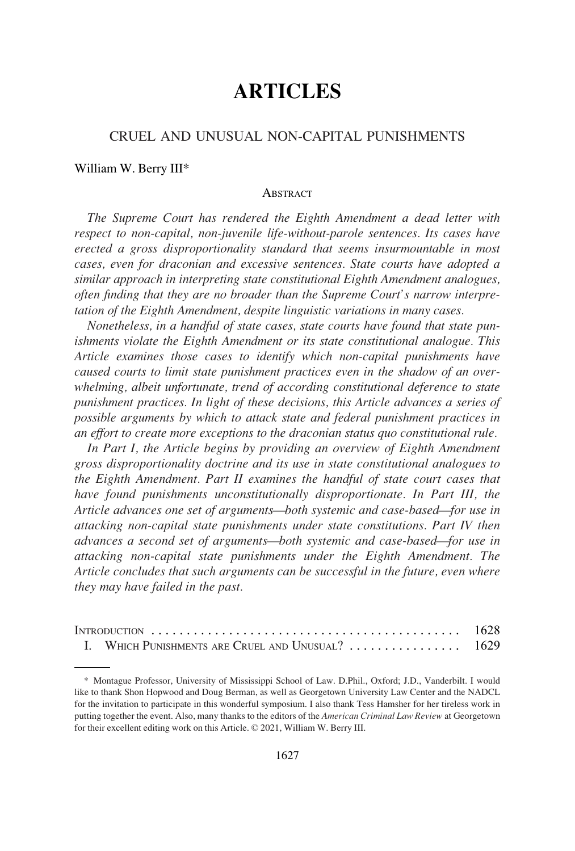# **ARTICLES**

# CRUEL AND UNUSUAL NON-CAPITAL PUNISHMENTS

#### William W. Berry III\*

#### **ABSTRACT**

*The Supreme Court has rendered the Eighth Amendment a dead letter with respect to non-capital, non-juvenile life-without-parole sentences. Its cases have erected a gross disproportionality standard that seems insurmountable in most cases, even for draconian and excessive sentences. State courts have adopted a similar approach in interpreting state constitutional Eighth Amendment analogues, often finding that they are no broader than the Supreme Court's narrow interpretation of the Eighth Amendment, despite linguistic variations in many cases.* 

*Nonetheless, in a handful of state cases, state courts have found that state punishments violate the Eighth Amendment or its state constitutional analogue. This Article examines those cases to identify which non-capital punishments have caused courts to limit state punishment practices even in the shadow of an overwhelming, albeit unfortunate, trend of according constitutional deference to state punishment practices. In light of these decisions, this Article advances a series of possible arguments by which to attack state and federal punishment practices in an effort to create more exceptions to the draconian status quo constitutional rule.* 

*In Part I, the Article begins by providing an overview of Eighth Amendment gross disproportionality doctrine and its use in state constitutional analogues to the Eighth Amendment. Part II examines the handful of state court cases that have found punishments unconstitutionally disproportionate. In Part III, the Article advances one set of arguments—both systemic and case-based—for use in attacking non-capital state punishments under state constitutions. Part IV then advances a second set of arguments—both systemic and case-based—for use in attacking non-capital state punishments under the Eighth Amendment. The Article concludes that such arguments can be successful in the future, even where they may have failed in the past.* 

| I. WHICH PUNISHMENTS ARE CRUEL AND UNUSUAL?  1629 |  |
|---------------------------------------------------|--|

<sup>\*</sup> Montague Professor, University of Mississippi School of Law. D.Phil., Oxford; J.D., Vanderbilt. I would like to thank Shon Hopwood and Doug Berman, as well as Georgetown University Law Center and the NADCL for the invitation to participate in this wonderful symposium. I also thank Tess Hamsher for her tireless work in putting together the event. Also, many thanks to the editors of the *American Criminal Law Review* at Georgetown for their excellent editing work on this Article. © 2021, William W. Berry III.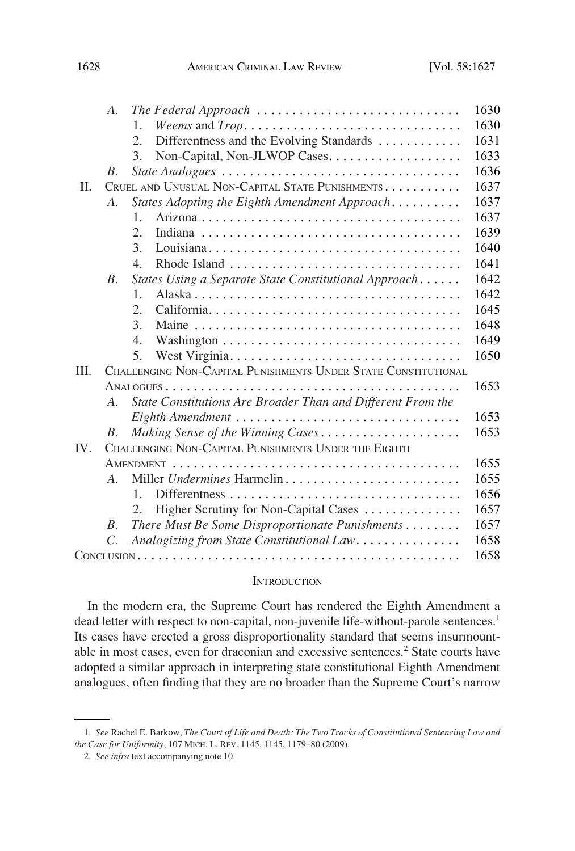<span id="page-1-0"></span>

|      | $A_{\cdot}$    | The Federal Approach                                           | 1630 |  |
|------|----------------|----------------------------------------------------------------|------|--|
|      |                | Weems and Trop<br>1.                                           | 1630 |  |
|      |                | Differentness and the Evolving Standards<br>2.                 | 1631 |  |
|      |                | Non-Capital, Non-JLWOP Cases<br>3.                             | 1633 |  |
|      | $B_{-}$        | State Analogues                                                | 1636 |  |
| Π.   |                | CRUEL AND UNUSUAL NON-CAPITAL STATE PUNISHMENTS                | 1637 |  |
|      | A <sub>1</sub> | States Adopting the Eighth Amendment Approach                  | 1637 |  |
|      |                | 1.                                                             | 1637 |  |
|      |                | 2.                                                             | 1639 |  |
|      |                | 3.                                                             | 1640 |  |
|      |                | $\mathcal{A}_{\cdot}$                                          | 1641 |  |
|      | $B_{\cdot}$    | States Using a Separate State Constitutional Approach          | 1642 |  |
|      |                | $\mathbf{1}$                                                   | 1642 |  |
|      |                | 2.                                                             | 1645 |  |
|      |                | 3.                                                             | 1648 |  |
|      |                | $\mathcal{A}_{\cdot}$                                          | 1649 |  |
|      |                | 5.                                                             | 1650 |  |
| III. |                | CHALLENGING NON-CAPITAL PUNISHMENTS UNDER STATE CONSTITUTIONAL |      |  |
|      |                |                                                                | 1653 |  |
|      | $A_{\cdot}$    | State Constitutions Are Broader Than and Different From the    |      |  |
|      |                | Eighth Amendment                                               | 1653 |  |
|      | <i>B</i> .     | Making Sense of the Winning Cases                              | 1653 |  |
| IV.  |                | CHALLENGING NON-CAPITAL PUNISHMENTS UNDER THE EIGHTH           |      |  |
|      |                |                                                                | 1655 |  |
|      | $A_{\cdot}$    |                                                                | 1655 |  |
|      |                | 1.                                                             | 1656 |  |
|      |                | Higher Scrutiny for Non-Capital Cases<br>2.                    | 1657 |  |
|      | $B_{\cdot}$    | There Must Be Some Disproportionate Punishments                | 1657 |  |
|      | $C_{\cdot}$    | Analogizing from State Constitutional Law                      | 1658 |  |
|      | 1658           |                                                                |      |  |

#### **INTRODUCTION**

In the modern era, the Supreme Court has rendered the Eighth Amendment a dead letter with respect to non-capital, non-juvenile life-without-parole sentences.<sup>1</sup> Its cases have erected a gross disproportionality standard that seems insurmountable in most cases, even for draconian and excessive sentences.<sup>2</sup> State courts have adopted a similar approach in interpreting state constitutional Eighth Amendment analogues, often finding that they are no broader than the Supreme Court's narrow

<sup>1.</sup> *See* Rachel E. Barkow, *The Court of Life and Death: The Two Tracks of Constitutional Sentencing Law and the Case for Uniformity*, 107 MICH. L. REV. 1145, 1145, 1179–80 (2009).

<sup>2.</sup> *See infra* text accompanying note 10.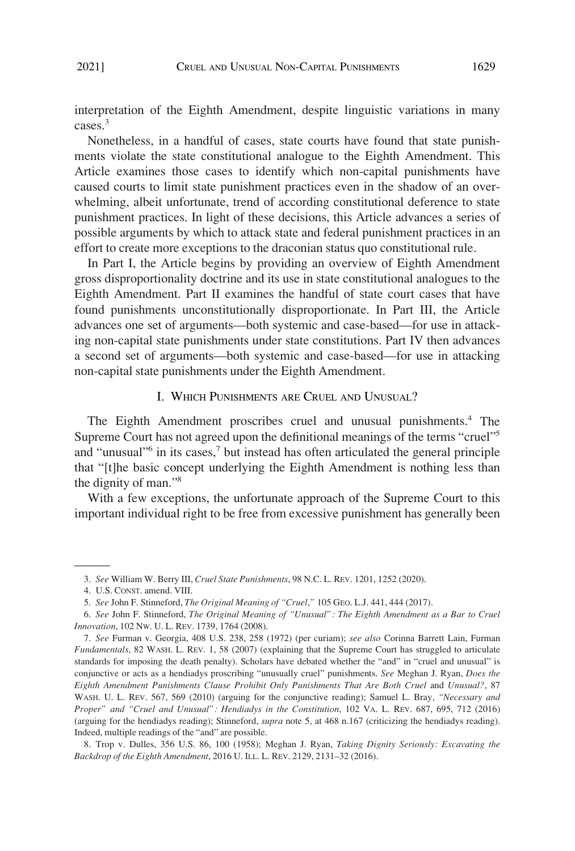<span id="page-2-0"></span>interpretation of the Eighth Amendment, despite linguistic variations in many cases.<sup>3</sup>

Nonetheless, in a handful of cases, state courts have found that state punishments violate the state constitutional analogue to the Eighth Amendment. This Article examines those cases to identify which non-capital punishments have caused courts to limit state punishment practices even in the shadow of an overwhelming, albeit unfortunate, trend of according constitutional deference to state punishment practices. In light of these decisions, this Article advances a series of possible arguments by which to attack state and federal punishment practices in an effort to create more exceptions to the draconian status quo constitutional rule.

In Part I, the Article begins by providing an overview of Eighth Amendment gross disproportionality doctrine and its use in state constitutional analogues to the Eighth Amendment. Part II examines the handful of state court cases that have found punishments unconstitutionally disproportionate. In Part III, the Article advances one set of arguments—both systemic and case-based—for use in attacking non-capital state punishments under state constitutions. Part IV then advances a second set of arguments—both systemic and case-based—for use in attacking non-capital state punishments under the Eighth Amendment.

## I. WHICH PUNISHMENTS ARE CRUEL AND UNUSUAL?

The Eighth Amendment proscribes cruel and unusual punishments.<sup>4</sup> The Supreme Court has not agreed upon the definitional meanings of the terms "cruel"<sup>5</sup> and "unusual" $\delta$  in its cases, $\delta$  but instead has often articulated the general principle that "[t]he basic concept underlying the Eighth Amendment is nothing less than the dignity of man."8

With a few exceptions, the unfortunate approach of the Supreme Court to this important individual right to be free from excessive punishment has generally been

<sup>3.</sup> *See* William W. Berry III, *Cruel State Punishments*, 98 N.C. L. REV. 1201, 1252 (2020).

<sup>4.</sup> U.S. CONST. amend. VIII.

<sup>5.</sup> *See* John F. Stinneford, *The Original Meaning of "Cruel*,*"* 105 GEO. L.J. 441, 444 (2017).

<sup>6.</sup> *See* John F. Stinneford, *The Original Meaning of "Unusual": The Eighth Amendment as a Bar to Cruel Innovation*, 102 NW. U. L. REV. 1739, 1764 (2008).

<sup>7.</sup> *See* Furman v. Georgia, 408 U.S. 238, 258 (1972) (per curiam); *see also* Corinna Barrett Lain, Furman *Fundamentals*, 82 WASH. L. REV. 1, 58 (2007) (explaining that the Supreme Court has struggled to articulate standards for imposing the death penalty). Scholars have debated whether the "and" in "cruel and unusual" is conjunctive or acts as a hendiadys proscribing "unusually cruel" punishments. *See* Meghan J. Ryan, *Does the Eighth Amendment Punishments Clause Prohibit Only Punishments That Are Both Cruel and Unusual?*, 87 WASH. U. L. REV. 567, 569 (2010) (arguing for the conjunctive reading); Samuel L. Bray, *"Necessary and Proper" and "Cruel and Unusual": Hendiadys in the Constitution*, 102 VA. L. REV. 687, 695, 712 (2016) (arguing for the hendiadys reading); Stinneford, *supra* note 5, at 468 n.167 (criticizing the hendiadys reading). Indeed, multiple readings of the "and" are possible.

<sup>8.</sup> Trop v. Dulles, 356 U.S. 86, 100 (1958); Meghan J. Ryan, *Taking Dignity Seriously: Excavating the Backdrop of the Eighth Amendment*, 2016 U. ILL. L. REV. 2129, 2131–32 (2016).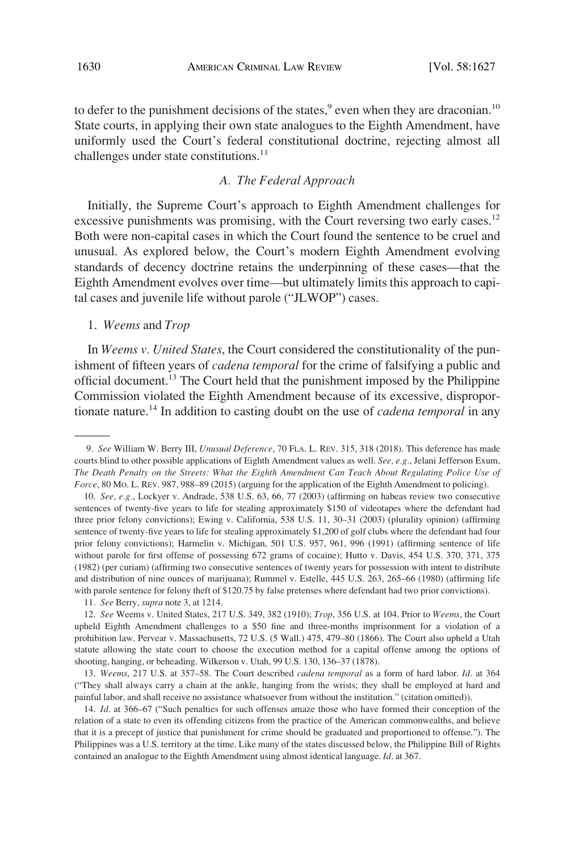<span id="page-3-0"></span>to defer to the punishment decisions of the states,<sup>9</sup> even when they are draconian.<sup>10</sup> State courts, in applying their own state analogues to the Eighth Amendment, have uniformly used the Court's federal constitutional doctrine, rejecting almost all challenges under state constitutions.<sup>11</sup>

## *A. The Federal Approach*

Initially, the Supreme Court's approach to Eighth Amendment challenges for excessive punishments was promising, with the Court reversing two early cases.<sup>12</sup> Both were non-capital cases in which the Court found the sentence to be cruel and unusual. As explored below, the Court's modern Eighth Amendment evolving standards of decency doctrine retains the underpinning of these cases—that the Eighth Amendment evolves over time—but ultimately limits this approach to capital cases and juvenile life without parole ("JLWOP") cases.

## 1. *Weems* and *Trop*

In *Weems v. United States*, the Court considered the constitutionality of the punishment of fifteen years of *cadena temporal* for the crime of falsifying a public and official document.13 The Court held that the punishment imposed by the Philippine Commission violated the Eighth Amendment because of its excessive, disproportionate nature.14 In addition to casting doubt on the use of *cadena temporal* in any

11. *See* Berry, *supra* note 3, at 1214.

<sup>9.</sup> *See* William W. Berry III, *Unusual Deference*, 70 FLA. L. REV. 315, 318 (2018). This deference has made courts blind to other possible applications of Eighth Amendment values as well. *See, e.g.*, Jelani Jefferson Exum, *The Death Penalty on the Streets: What the Eighth Amendment Can Teach About Regulating Police Use of Force*, 80 Mo. L. REV. 987, 988–89 (2015) (arguing for the application of the Eighth Amendment to policing).

<sup>10.</sup> *See, e.g.*, Lockyer v. Andrade, 538 U.S. 63, 66, 77 (2003) (affirming on habeas review two consecutive sentences of twenty-five years to life for stealing approximately \$150 of videotapes where the defendant had three prior felony convictions); Ewing v. California, 538 U.S. 11, 30–31 (2003) (plurality opinion) (affirming sentence of twenty-five years to life for stealing approximately \$1,200 of golf clubs where the defendant had four prior felony convictions); Harmelin v. Michigan, 501 U.S. 957, 961, 996 (1991) (affirming sentence of life without parole for first offense of possessing 672 grams of cocaine); Hutto v. Davis, 454 U.S. 370, 371, 375 (1982) (per curiam) (affirming two consecutive sentences of twenty years for possession with intent to distribute and distribution of nine ounces of marijuana); Rummel v. Estelle, 445 U.S. 263, 265–66 (1980) (affirming life with parole sentence for felony theft of \$120.75 by false pretenses where defendant had two prior convictions).

<sup>12.</sup> *See* Weems v. United States, 217 U.S. 349, 382 (1910); *Trop*, 356 U.S. at 104. Prior to *Weems*, the Court upheld Eighth Amendment challenges to a \$50 fine and three-months imprisonment for a violation of a prohibition law. Pervear v. Massachusetts, 72 U.S. (5 Wall.) 475, 479–80 (1866). The Court also upheld a Utah statute allowing the state court to choose the execution method for a capital offense among the options of shooting, hanging, or beheading. Wilkerson v. Utah, 99 U.S. 130, 136–37 (1878).

<sup>13.</sup> *Weems*, 217 U.S. at 357–58. The Court described *cadena temporal* as a form of hard labor. *Id.* at 364 ("They shall always carry a chain at the ankle, hanging from the wrists; they shall be employed at hard and painful labor, and shall receive no assistance whatsoever from without the institution." (citation omitted)).

<sup>14.</sup> *Id.* at 366–67 ("Such penalties for such offenses amaze those who have formed their conception of the relation of a state to even its offending citizens from the practice of the American commonwealths, and believe that it is a precept of justice that punishment for crime should be graduated and proportioned to offense."). The Philippines was a U.S. territory at the time. Like many of the states discussed below, the Philippine Bill of Rights contained an analogue to the Eighth Amendment using almost identical language. *Id*. at 367.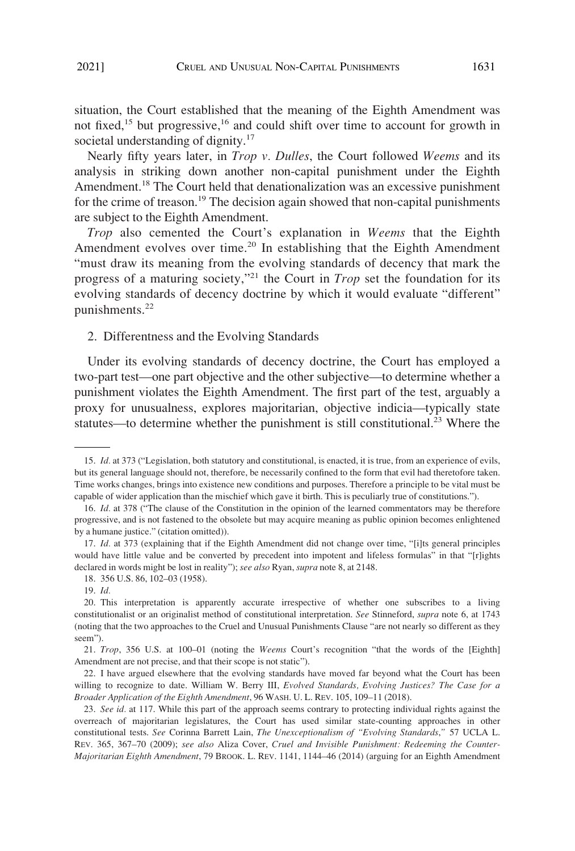<span id="page-4-0"></span>situation, the Court established that the meaning of the Eighth Amendment was not fixed,<sup>15</sup> but progressive,<sup>16</sup> and could shift over time to account for growth in societal understanding of dignity.<sup>17</sup>

Nearly fifty years later, in *Trop v. Dulles*, the Court followed *Weems* and its analysis in striking down another non-capital punishment under the Eighth Amendment.<sup>18</sup> The Court held that denationalization was an excessive punishment for the crime of treason.<sup>19</sup> The decision again showed that non-capital punishments are subject to the Eighth Amendment.

*Trop* also cemented the Court's explanation in *Weems* that the Eighth Amendment evolves over time.<sup>20</sup> In establishing that the Eighth Amendment "must draw its meaning from the evolving standards of decency that mark the progress of a maturing society,"21 the Court in *Trop* set the foundation for its evolving standards of decency doctrine by which it would evaluate "different" punishments.<sup>22</sup>

2. Differentness and the Evolving Standards

Under its evolving standards of decency doctrine, the Court has employed a two-part test—one part objective and the other subjective—to determine whether a punishment violates the Eighth Amendment. The first part of the test, arguably a proxy for unusualness, explores majoritarian, objective indicia—typically state statutes—to determine whether the punishment is still constitutional.<sup>23</sup> Where the

<sup>15.</sup> *Id.* at 373 ("Legislation, both statutory and constitutional, is enacted, it is true, from an experience of evils, but its general language should not, therefore, be necessarily confined to the form that evil had theretofore taken. Time works changes, brings into existence new conditions and purposes. Therefore a principle to be vital must be capable of wider application than the mischief which gave it birth. This is peculiarly true of constitutions.").

<sup>16.</sup> *Id.* at 378 ("The clause of the Constitution in the opinion of the learned commentators may be therefore progressive, and is not fastened to the obsolete but may acquire meaning as public opinion becomes enlightened by a humane justice." (citation omitted)).

<sup>17.</sup> *Id.* at 373 (explaining that if the Eighth Amendment did not change over time, "[i]ts general principles would have little value and be converted by precedent into impotent and lifeless formulas" in that "[r]ights declared in words might be lost in reality"); *see also* Ryan, *supra* note 8, at 2148.

<sup>18. 356</sup> U.S. 86, 102–03 (1958).

<sup>19.</sup> *Id.* 

<sup>20.</sup> This interpretation is apparently accurate irrespective of whether one subscribes to a living constitutionalist or an originalist method of constitutional interpretation. *See* Stinneford, *supra* note 6, at 1743 (noting that the two approaches to the Cruel and Unusual Punishments Clause "are not nearly so different as they seem").

<sup>21.</sup> *Trop*, 356 U.S. at 100–01 (noting the *Weems* Court's recognition "that the words of the [Eighth] Amendment are not precise, and that their scope is not static").

<sup>22.</sup> I have argued elsewhere that the evolving standards have moved far beyond what the Court has been willing to recognize to date. William W. Berry III, *Evolved Standards, Evolving Justices? The Case for a Broader Application of the Eighth Amendment*, 96 WASH. U. L. REV. 105, 109–11 (2018).

<sup>23.</sup> *See id.* at 117. While this part of the approach seems contrary to protecting individual rights against the overreach of majoritarian legislatures, the Court has used similar state-counting approaches in other constitutional tests. *See* Corinna Barrett Lain, *The Unexceptionalism of "Evolving Standards*,*"* 57 UCLA L. REV. 365, 367–70 (2009); *see also* Aliza Cover, *Cruel and Invisible Punishment: Redeeming the Counter-Majoritarian Eighth Amendment*, 79 BROOK. L. REV. 1141, 1144–46 (2014) (arguing for an Eighth Amendment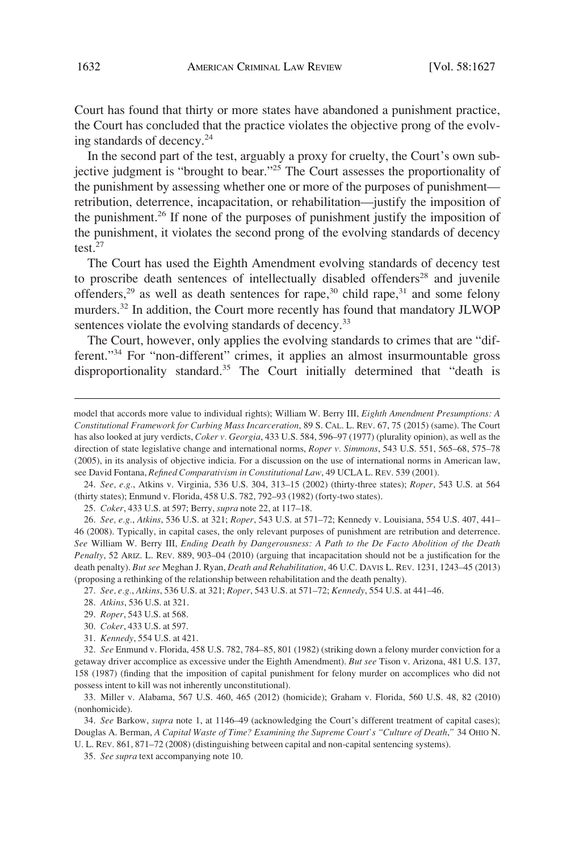Court has found that thirty or more states have abandoned a punishment practice, the Court has concluded that the practice violates the objective prong of the evolving standards of decency. $^{24}$ 

In the second part of the test, arguably a proxy for cruelty, the Court's own subjective judgment is "brought to bear."25 The Court assesses the proportionality of the punishment by assessing whether one or more of the purposes of punishment retribution, deterrence, incapacitation, or rehabilitation—justify the imposition of the punishment.<sup>26</sup> If none of the purposes of punishment justify the imposition of the punishment, it violates the second prong of the evolving standards of decency test. $27$ 

The Court has used the Eighth Amendment evolving standards of decency test to proscribe death sentences of intellectually disabled offenders<sup>28</sup> and juvenile offenders,<sup>29</sup> as well as death sentences for rape,<sup>30</sup> child rape,<sup>31</sup> and some felony murders.<sup>32</sup> In addition, the Court more recently has found that mandatory JLWOP sentences violate the evolving standards of decency.<sup>33</sup>

The Court, however, only applies the evolving standards to crimes that are "different."34 For "non-different" crimes, it applies an almost insurmountable gross disproportionality standard.<sup>35</sup> The Court initially determined that "death is

24. *See, e.g.*, Atkins v. Virginia, 536 U.S. 304, 313–15 (2002) (thirty-three states); *Roper*, 543 U.S. at 564 (thirty states); Enmund v. Florida, 458 U.S. 782, 792–93 (1982) (forty-two states).

25. *Coker*, 433 U.S. at 597; Berry, *supra* note 22, at 117–18.

26. *See, e.g.*, *Atkins*, 536 U.S. at 321; *Roper*, 543 U.S. at 571–72; Kennedy v. Louisiana, 554 U.S. 407, 441– 46 (2008). Typically, in capital cases, the only relevant purposes of punishment are retribution and deterrence. *See* William W. Berry III, *Ending Death by Dangerousness: A Path to the De Facto Abolition of the Death Penalty*, 52 ARIZ. L. REV. 889, 903–04 (2010) (arguing that incapacitation should not be a justification for the death penalty). *But see* Meghan J. Ryan, *Death and Rehabilitation*, 46 U.C. DAVIS L. REV. 1231, 1243–45 (2013) (proposing a rethinking of the relationship between rehabilitation and the death penalty).

27. *See, e.g.*, *Atkins*, 536 U.S. at 321; *Roper*, 543 U.S. at 571–72; *Kennedy*, 554 U.S. at 441–46.

32. *See* Enmund v. Florida, 458 U.S. 782, 784–85, 801 (1982) (striking down a felony murder conviction for a getaway driver accomplice as excessive under the Eighth Amendment). *But see* Tison v. Arizona, 481 U.S. 137, 158 (1987) (finding that the imposition of capital punishment for felony murder on accomplices who did not possess intent to kill was not inherently unconstitutional).

33. Miller v. Alabama, 567 U.S. 460, 465 (2012) (homicide); Graham v. Florida, 560 U.S. 48, 82 (2010) (nonhomicide).

34. *See* Barkow, *supra* note 1, at 1146–49 (acknowledging the Court's different treatment of capital cases); Douglas A. Berman, *A Capital Waste of Time? Examining the Supreme Court's "Culture of Death*,*"* 34 OHIO N. U. L. REV. 861, 871–72 (2008) (distinguishing between capital and non-capital sentencing systems).

35. *See supra* text accompanying note 10.

model that accords more value to individual rights); William W. Berry III, *Eighth Amendment Presumptions: A Constitutional Framework for Curbing Mass Incarceration*, 89 S. CAL. L. REV. 67, 75 (2015) (same). The Court has also looked at jury verdicts, *Coker v. Georgia*, 433 U.S. 584, 596–97 (1977) (plurality opinion), as well as the direction of state legislative change and international norms, *Roper v. Simmons*, 543 U.S. 551, 565–68, 575–78 (2005), in its analysis of objective indicia. For a discussion on the use of international norms in American law, see David Fontana, *Refined Comparativism in Constitutional Law*, 49 UCLA L. REV. 539 (2001).

<sup>28.</sup> *Atkins*, 536 U.S. at 321.

<sup>29.</sup> *Roper*, 543 U.S. at 568.

<sup>30.</sup> *Coker*, 433 U.S. at 597.

<sup>31.</sup> *Kennedy*, 554 U.S. at 421.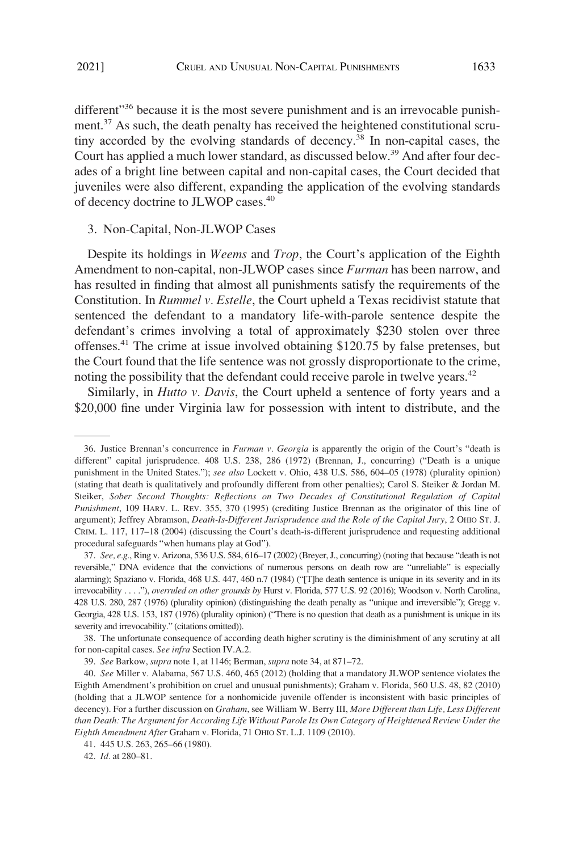<span id="page-6-0"></span>different"<sup>36</sup> because it is the most severe punishment and is an irrevocable punishment.37 As such, the death penalty has received the heightened constitutional scrutiny accorded by the evolving standards of decency.38 In non-capital cases, the Court has applied a much lower standard, as discussed below.<sup>39</sup> And after four decades of a bright line between capital and non-capital cases, the Court decided that juveniles were also different, expanding the application of the evolving standards of decency doctrine to JLWOP cases.<sup>40</sup>

#### 3. Non-Capital, Non-JLWOP Cases

Despite its holdings in *Weems* and *Trop*, the Court's application of the Eighth Amendment to non-capital, non-JLWOP cases since *Furman* has been narrow, and has resulted in finding that almost all punishments satisfy the requirements of the Constitution. In *Rummel v. Estelle*, the Court upheld a Texas recidivist statute that sentenced the defendant to a mandatory life-with-parole sentence despite the defendant's crimes involving a total of approximately \$230 stolen over three offenses.41 The crime at issue involved obtaining \$120.75 by false pretenses, but the Court found that the life sentence was not grossly disproportionate to the crime, noting the possibility that the defendant could receive parole in twelve years.<sup>42</sup>

Similarly, in *Hutto v. Davis*, the Court upheld a sentence of forty years and a \$20,000 fine under Virginia law for possession with intent to distribute, and the

38. The unfortunate consequence of according death higher scrutiny is the diminishment of any scrutiny at all for non-capital cases. *See infra* Section IV.A.2.

<sup>36.</sup> Justice Brennan's concurrence in *Furman v. Georgia* is apparently the origin of the Court's "death is different" capital jurisprudence. 408 U.S. 238, 286 (1972) (Brennan, J., concurring) ("Death is a unique punishment in the United States."); *see also* Lockett v. Ohio, 438 U.S. 586, 604–05 (1978) (plurality opinion) (stating that death is qualitatively and profoundly different from other penalties); Carol S. Steiker & Jordan M. Steiker, *Sober Second Thoughts: Reflections on Two Decades of Constitutional Regulation of Capital Punishment*, 109 HARV. L. REV. 355, 370 (1995) (crediting Justice Brennan as the originator of this line of argument); Jeffrey Abramson, *Death-Is-Different Jurisprudence and the Role of the Capital Jury*, 2 OHIO ST. J. CRIM. L. 117, 117–18 (2004) (discussing the Court's death-is-different jurisprudence and requesting additional procedural safeguards "when humans play at God").

<sup>37.</sup> *See, e.g.*, Ring v. Arizona, 536 U.S. 584, 616–17 (2002) (Breyer, J., concurring) (noting that because "death is not reversible," DNA evidence that the convictions of numerous persons on death row are "unreliable" is especially alarming); Spaziano v. Florida, 468 U.S. 447, 460 n.7 (1984) ("[T]he death sentence is unique in its severity and in its irrevocability . . . ."), *overruled on other grounds by* Hurst v. Florida, 577 U.S. 92 (2016); Woodson v. North Carolina, 428 U.S. 280, 287 (1976) (plurality opinion) (distinguishing the death penalty as "unique and irreversible"); Gregg v. Georgia, 428 U.S. 153, 187 (1976) (plurality opinion) ("There is no question that death as a punishment is unique in its severity and irrevocability." (citations omitted)).

<sup>39.</sup> *See* Barkow, *supra* note 1, at 1146; Berman, *supra* note 34, at 871–72.

<sup>40.</sup> *See* Miller v. Alabama, 567 U.S. 460, 465 (2012) (holding that a mandatory JLWOP sentence violates the Eighth Amendment's prohibition on cruel and unusual punishments); Graham v. Florida, 560 U.S. 48, 82 (2010) (holding that a JLWOP sentence for a nonhomicide juvenile offender is inconsistent with basic principles of decency). For a further discussion on *Graham*, see William W. Berry III, *More Different than Life, Less Different than Death: The Argument for According Life Without Parole Its Own Category of Heightened Review Under the Eighth Amendment After* Graham v. Florida, 71 OHIO ST. L.J. 1109 (2010).

<sup>41. 445</sup> U.S. 263, 265–66 (1980).

<sup>42.</sup> *Id.* at 280–81.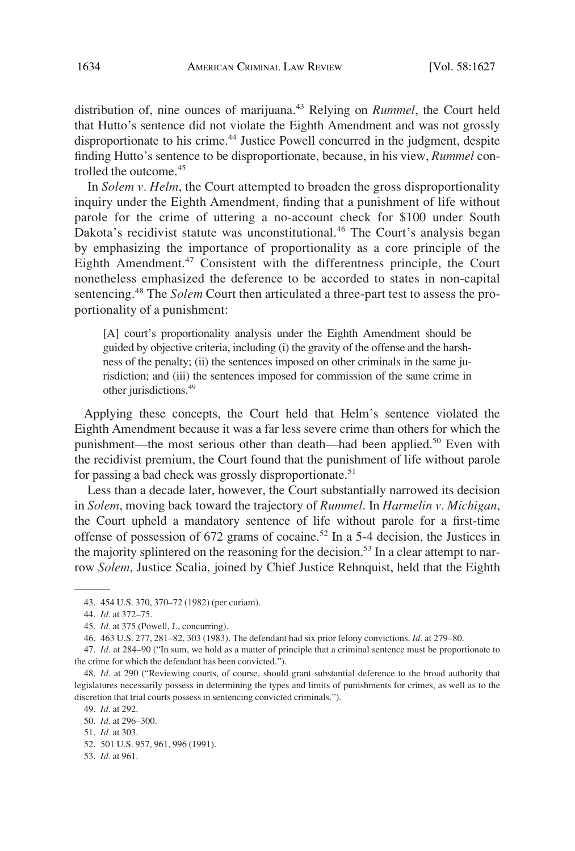distribution of, nine ounces of marijuana.<sup>43</sup> Relying on *Rummel*, the Court held that Hutto's sentence did not violate the Eighth Amendment and was not grossly disproportionate to his crime.<sup>44</sup> Justice Powell concurred in the judgment, despite finding Hutto's sentence to be disproportionate, because, in his view, *Rummel* controlled the outcome.<sup>45</sup>

In *Solem v. Helm*, the Court attempted to broaden the gross disproportionality inquiry under the Eighth Amendment, finding that a punishment of life without parole for the crime of uttering a no-account check for \$100 under South Dakota's recidivist statute was unconstitutional.<sup>46</sup> The Court's analysis began by emphasizing the importance of proportionality as a core principle of the Eighth Amendment.<sup>47</sup> Consistent with the differentness principle, the Court nonetheless emphasized the deference to be accorded to states in non-capital sentencing.48 The *Solem* Court then articulated a three-part test to assess the proportionality of a punishment:

[A] court's proportionality analysis under the Eighth Amendment should be guided by objective criteria, including (i) the gravity of the offense and the harshness of the penalty; (ii) the sentences imposed on other criminals in the same jurisdiction; and (iii) the sentences imposed for commission of the same crime in other jurisdictions.49

Applying these concepts, the Court held that Helm's sentence violated the Eighth Amendment because it was a far less severe crime than others for which the punishment—the most serious other than death—had been applied.<sup>50</sup> Even with the recidivist premium, the Court found that the punishment of life without parole for passing a bad check was grossly disproportionate.<sup>51</sup>

Less than a decade later, however, the Court substantially narrowed its decision in *Solem*, moving back toward the trajectory of *Rummel*. In *Harmelin v. Michigan*, the Court upheld a mandatory sentence of life without parole for a first-time offense of possession of  $672$  grams of cocaine.<sup>52</sup> In a 5-4 decision, the Justices in the majority splintered on the reasoning for the decision.<sup>53</sup> In a clear attempt to narrow *Solem*, Justice Scalia, joined by Chief Justice Rehnquist, held that the Eighth

53. *Id.* at 961.

<sup>43. 454</sup> U.S. 370, 370–72 (1982) (per curiam).

<sup>44.</sup> *Id.* at 372–75.

<sup>45.</sup> *Id.* at 375 (Powell, J., concurring).

<sup>46. 463</sup> U.S. 277, 281–82, 303 (1983). The defendant had six prior felony convictions. *Id.* at 279–80.

<sup>47.</sup> *Id.* at 284–90 ("In sum, we hold as a matter of principle that a criminal sentence must be proportionate to the crime for which the defendant has been convicted.").

<sup>48.</sup> *Id.* at 290 ("Reviewing courts, of course, should grant substantial deference to the broad authority that legislatures necessarily possess in determining the types and limits of punishments for crimes, as well as to the discretion that trial courts possess in sentencing convicted criminals.").

<sup>49.</sup> *Id.* at 292.

<sup>50.</sup> *Id.* at 296–300.

<sup>51.</sup> *Id.* at 303.

<sup>52. 501</sup> U.S. 957, 961, 996 (1991).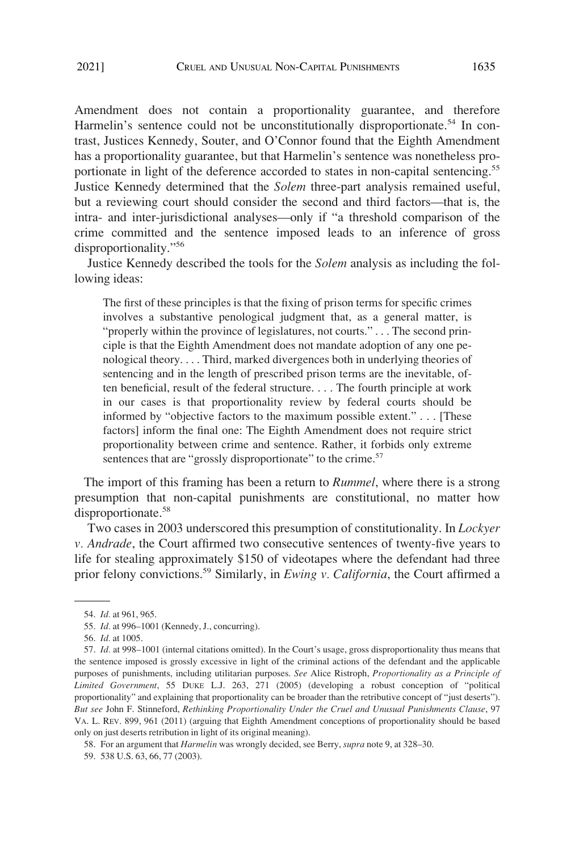Amendment does not contain a proportionality guarantee, and therefore Harmelin's sentence could not be unconstitutionally disproportionate.<sup>54</sup> In contrast, Justices Kennedy, Souter, and O'Connor found that the Eighth Amendment has a proportionality guarantee, but that Harmelin's sentence was nonetheless proportionate in light of the deference accorded to states in non-capital sentencing.<sup>55</sup> Justice Kennedy determined that the *Solem* three-part analysis remained useful, but a reviewing court should consider the second and third factors—that is, the intra- and inter-jurisdictional analyses—only if "a threshold comparison of the crime committed and the sentence imposed leads to an inference of gross disproportionality."<sup>56</sup>

Justice Kennedy described the tools for the *Solem* analysis as including the following ideas:

The first of these principles is that the fixing of prison terms for specific crimes involves a substantive penological judgment that, as a general matter, is "properly within the province of legislatures, not courts." . . . The second principle is that the Eighth Amendment does not mandate adoption of any one penological theory. . . . Third, marked divergences both in underlying theories of sentencing and in the length of prescribed prison terms are the inevitable, often beneficial, result of the federal structure. . . . The fourth principle at work in our cases is that proportionality review by federal courts should be informed by "objective factors to the maximum possible extent." . . . [These factors] inform the final one: The Eighth Amendment does not require strict proportionality between crime and sentence. Rather, it forbids only extreme sentences that are "grossly disproportionate" to the crime.<sup>57</sup>

The import of this framing has been a return to *Rummel*, where there is a strong presumption that non-capital punishments are constitutional, no matter how disproportionate.<sup>58</sup>

Two cases in 2003 underscored this presumption of constitutionality. In *Lockyer v. Andrade*, the Court affirmed two consecutive sentences of twenty-five years to life for stealing approximately \$150 of videotapes where the defendant had three prior felony convictions.59 Similarly, in *Ewing v. California*, the Court affirmed a

<sup>54.</sup> *Id.* at 961, 965.

<sup>55.</sup> *Id.* at 996–1001 (Kennedy, J., concurring).

<sup>56.</sup> *Id.* at 1005.

<sup>57.</sup> *Id.* at 998–1001 (internal citations omitted). In the Court's usage, gross disproportionality thus means that the sentence imposed is grossly excessive in light of the criminal actions of the defendant and the applicable purposes of punishments, including utilitarian purposes. *See* Alice Ristroph, *Proportionality as a Principle of Limited Government*, 55 DUKE L.J. 263, 271 (2005) (developing a robust conception of "political proportionality" and explaining that proportionality can be broader than the retributive concept of "just deserts"). *But see* John F. Stinneford, *Rethinking Proportionality Under the Cruel and Unusual Punishments Clause*, 97 VA. L. REV. 899, 961 (2011) (arguing that Eighth Amendment conceptions of proportionality should be based only on just deserts retribution in light of its original meaning).

<sup>58.</sup> For an argument that *Harmelin* was wrongly decided, see Berry, *supra* note 9, at 328–30.

<sup>59. 538</sup> U.S. 63, 66, 77 (2003).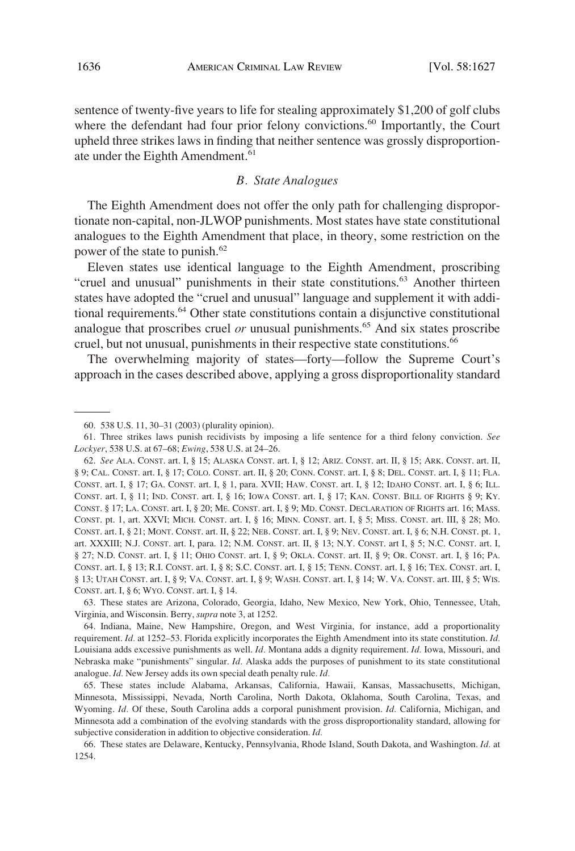<span id="page-9-0"></span>sentence of twenty-five years to life for stealing approximately \$1,200 of golf clubs where the defendant had four prior felony convictions.<sup>60</sup> Importantly, the Court upheld three strikes laws in finding that neither sentence was grossly disproportionate under the Eighth Amendment.<sup>61</sup>

## *B. State Analogues*

The Eighth Amendment does not offer the only path for challenging disproportionate non-capital, non-JLWOP punishments. Most states have state constitutional analogues to the Eighth Amendment that place, in theory, some restriction on the power of the state to punish.<sup>62</sup>

Eleven states use identical language to the Eighth Amendment, proscribing "cruel and unusual" punishments in their state constitutions.<sup>63</sup> Another thirteen states have adopted the "cruel and unusual" language and supplement it with additional requirements.64 Other state constitutions contain a disjunctive constitutional analogue that proscribes cruel *or* unusual punishments.<sup>65</sup> And six states proscribe cruel, but not unusual, punishments in their respective state constitutions.<sup>66</sup>

The overwhelming majority of states—forty—follow the Supreme Court's approach in the cases described above, applying a gross disproportionality standard

63. These states are Arizona, Colorado, Georgia, Idaho, New Mexico, New York, Ohio, Tennessee, Utah, Virginia, and Wisconsin. Berry, *supra* note 3, at 1252.

64. Indiana, Maine, New Hampshire, Oregon, and West Virginia, for instance, add a proportionality requirement. *Id.* at 1252–53. Florida explicitly incorporates the Eighth Amendment into its state constitution. *Id.*  Louisiana adds excessive punishments as well. *Id.* Montana adds a dignity requirement. *Id.* Iowa, Missouri, and Nebraska make "punishments" singular. *Id.* Alaska adds the purposes of punishment to its state constitutional analogue. *Id.* New Jersey adds its own special death penalty rule. *Id.* 

65. These states include Alabama, Arkansas, California, Hawaii, Kansas, Massachusetts, Michigan, Minnesota, Mississippi, Nevada, North Carolina, North Dakota, Oklahoma, South Carolina, Texas, and Wyoming. *Id.* Of these, South Carolina adds a corporal punishment provision. *Id.* California, Michigan, and Minnesota add a combination of the evolving standards with the gross disproportionality standard, allowing for subjective consideration in addition to objective consideration. *Id.* 

<sup>60. 538</sup> U.S. 11, 30–31 (2003) (plurality opinion).

<sup>61.</sup> Three strikes laws punish recidivists by imposing a life sentence for a third felony conviction. *See Lockyer*, 538 U.S. at 67–68; *Ewing*, 538 U.S. at 24–26.

<sup>62.</sup> *See* ALA. CONST. art. I, § 15; ALASKA CONST. art. I, § 12; ARIZ. CONST. art. II, § 15; ARK. CONST. art. II, § 9; CAL. CONST. art. I, § 17; COLO. CONST. art. II, § 20; CONN. CONST. art. I, § 8; DEL. CONST. art. I, § 11; FLA. CONST. art. I, § 17; GA. CONST. art. I, § 1, para. XVII; HAW. CONST. art. I, § 12; IDAHO CONST. art. I, § 6; ILL. CONST. art. I, § 11; IND. CONST. art. I, § 16; IOWA CONST. art. I, § 17; KAN. CONST. BILL OF RIGHTS § 9; KY. CONST. § 17; LA. CONST. art. I, § 20; ME. CONST. art. I, § 9; MD. CONST. DECLARATION OF RIGHTS art. 16; MASS. CONST. pt. 1, art. XXVI; MICH. CONST. art. I, § 16; MINN. CONST. art. I, § 5; MISS. CONST. art. III, § 28; MO. CONST. art. I, § 21; MONT. CONST. art. II, § 22; NEB. CONST. art. I, § 9; NEV. CONST. art. I, § 6; N.H. CONST. pt. 1, art. XXXIII; N.J. CONST. art. I, para. 12; N.M. CONST. art. II, § 13; N.Y. CONST. art I, § 5; N.C. CONST. art. I, § 27; N.D. CONST. art. I, § 11; OHIO CONST. art. I, § 9; OKLA. CONST. art. II, § 9; OR. CONST. art. I, § 16; PA. CONST. art. I, § 13; R.I. CONST. art. I, § 8; S.C. CONST. art. I, § 15; TENN. CONST. art. I, § 16; TEX. CONST. art. I, § 13; UTAH CONST. art. I, § 9; VA. CONST. art. I, § 9; WASH. CONST. art. I, § 14; W. VA. CONST. art. III, § 5; WIS. CONST. art. I, § 6; WYO. CONST. art. I, § 14.

<sup>66.</sup> These states are Delaware, Kentucky, Pennsylvania, Rhode Island, South Dakota, and Washington. *Id.* at 1254.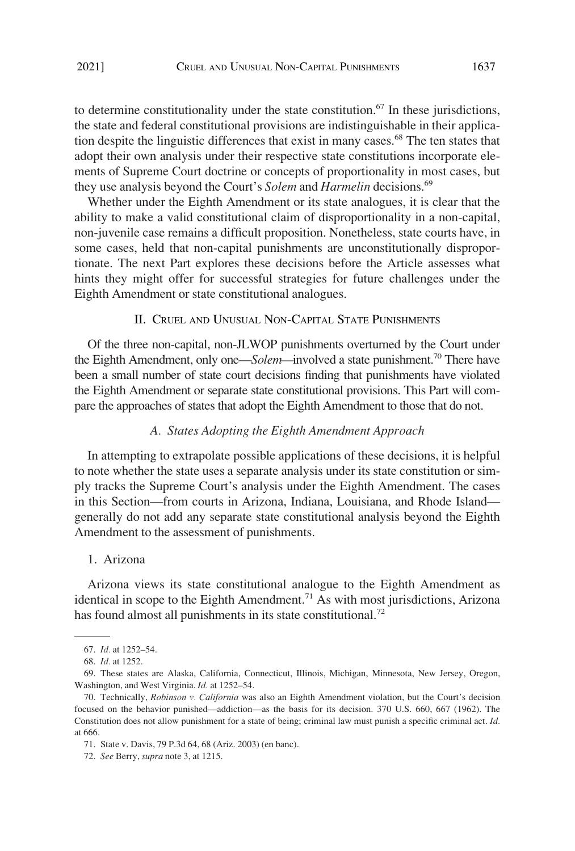<span id="page-10-0"></span>to determine constitutionality under the state constitution. $67$  In these jurisdictions, the state and federal constitutional provisions are indistinguishable in their application despite the linguistic differences that exist in many cases.<sup>68</sup> The ten states that adopt their own analysis under their respective state constitutions incorporate elements of Supreme Court doctrine or concepts of proportionality in most cases, but they use analysis beyond the Court's *Solem* and *Harmelin* decisions.69

Whether under the Eighth Amendment or its state analogues, it is clear that the ability to make a valid constitutional claim of disproportionality in a non-capital, non-juvenile case remains a difficult proposition. Nonetheless, state courts have, in some cases, held that non-capital punishments are unconstitutionally disproportionate. The next Part explores these decisions before the Article assesses what hints they might offer for successful strategies for future challenges under the Eighth Amendment or state constitutional analogues.

## II. CRUEL AND UNUSUAL NON-CAPITAL STATE PUNISHMENTS

Of the three non-capital, non-JLWOP punishments overturned by the Court under the Eighth Amendment, only one—*Solem*—involved a state punishment.<sup>70</sup> There have been a small number of state court decisions finding that punishments have violated the Eighth Amendment or separate state constitutional provisions. This Part will compare the approaches of states that adopt the Eighth Amendment to those that do not.

#### *A. States Adopting the Eighth Amendment Approach*

In attempting to extrapolate possible applications of these decisions, it is helpful to note whether the state uses a separate analysis under its state constitution or simply tracks the Supreme Court's analysis under the Eighth Amendment. The cases in this Section—from courts in Arizona, Indiana, Louisiana, and Rhode Island generally do not add any separate state constitutional analysis beyond the Eighth Amendment to the assessment of punishments.

## 1. Arizona

Arizona views its state constitutional analogue to the Eighth Amendment as identical in scope to the Eighth Amendment.<sup>71</sup> As with most jurisdictions, Arizona has found almost all punishments in its state constitutional.<sup>72</sup>

<sup>67.</sup> *Id.* at 1252–54.

<sup>68.</sup> *Id.* at 1252.

<sup>69.</sup> These states are Alaska, California, Connecticut, Illinois, Michigan, Minnesota, New Jersey, Oregon, Washington, and West Virginia. *Id.* at 1252–54.

<sup>70.</sup> Technically, *Robinson v. California* was also an Eighth Amendment violation, but the Court's decision focused on the behavior punished—addiction—as the basis for its decision. 370 U.S. 660, 667 (1962). The Constitution does not allow punishment for a state of being; criminal law must punish a specific criminal act. *Id.*  at 666.

<sup>71.</sup> State v. Davis, 79 P.3d 64, 68 (Ariz. 2003) (en banc).

<sup>72.</sup> *See* Berry, *supra* note 3, at 1215.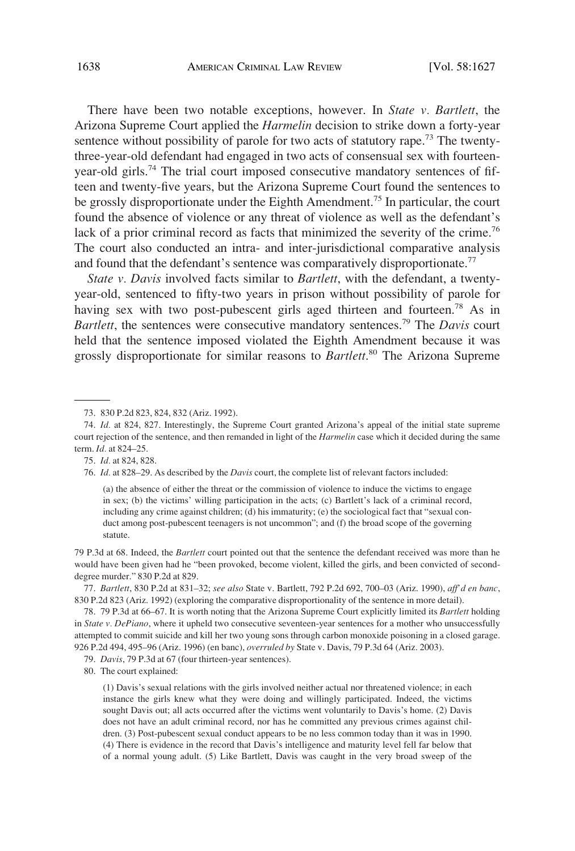There have been two notable exceptions, however. In *State v. Bartlett*, the Arizona Supreme Court applied the *Harmelin* decision to strike down a forty-year sentence without possibility of parole for two acts of statutory rape.<sup>73</sup> The twentythree-year-old defendant had engaged in two acts of consensual sex with fourteenyear-old girls.<sup>74</sup> The trial court imposed consecutive mandatory sentences of fifteen and twenty-five years, but the Arizona Supreme Court found the sentences to be grossly disproportionate under the Eighth Amendment.<sup>75</sup> In particular, the court found the absence of violence or any threat of violence as well as the defendant's lack of a prior criminal record as facts that minimized the severity of the crime.<sup>76</sup> The court also conducted an intra- and inter-jurisdictional comparative analysis and found that the defendant's sentence was comparatively disproportionate.<sup>77</sup>

*State v. Davis* involved facts similar to *Bartlett*, with the defendant, a twentyyear-old, sentenced to fifty-two years in prison without possibility of parole for having sex with two post-pubescent girls aged thirteen and fourteen.<sup>78</sup> As in *Bartlett*, the sentences were consecutive mandatory sentences.79 The *Davis* court held that the sentence imposed violated the Eighth Amendment because it was grossly disproportionate for similar reasons to *Bartlett*. 80 The Arizona Supreme

76. *Id.* at 828–29. As described by the *Davis* court, the complete list of relevant factors included:

(a) the absence of either the threat or the commission of violence to induce the victims to engage in sex; (b) the victims' willing participation in the acts; (c) Bartlett's lack of a criminal record, including any crime against children; (d) his immaturity; (e) the sociological fact that "sexual conduct among post-pubescent teenagers is not uncommon"; and (f) the broad scope of the governing statute.

79 P.3d at 68. Indeed, the *Bartlett* court pointed out that the sentence the defendant received was more than he would have been given had he "been provoked, become violent, killed the girls, and been convicted of seconddegree murder." 830 P.2d at 829.

77. *Bartlett*, 830 P.2d at 831–32; *see also* State v. Bartlett, 792 P.2d 692, 700–03 (Ariz. 1990), *aff'd en banc*, 830 P.2d 823 (Ariz. 1992) (exploring the comparative disproportionality of the sentence in more detail).

78. 79 P.3d at 66–67. It is worth noting that the Arizona Supreme Court explicitly limited its *Bartlett* holding in *State v. DePiano*, where it upheld two consecutive seventeen-year sentences for a mother who unsuccessfully attempted to commit suicide and kill her two young sons through carbon monoxide poisoning in a closed garage. 926 P.2d 494, 495–96 (Ariz. 1996) (en banc), *overruled by* State v. Davis, 79 P.3d 64 (Ariz. 2003).

79. *Davis*, 79 P.3d at 67 (four thirteen-year sentences).

80. The court explained:

(1) Davis's sexual relations with the girls involved neither actual nor threatened violence; in each instance the girls knew what they were doing and willingly participated. Indeed, the victims sought Davis out; all acts occurred after the victims went voluntarily to Davis's home. (2) Davis does not have an adult criminal record, nor has he committed any previous crimes against children. (3) Post-pubescent sexual conduct appears to be no less common today than it was in 1990. (4) There is evidence in the record that Davis's intelligence and maturity level fell far below that of a normal young adult. (5) Like Bartlett, Davis was caught in the very broad sweep of the

<sup>73. 830</sup> P.2d 823, 824, 832 (Ariz. 1992).

<sup>74.</sup> *Id.* at 824, 827. Interestingly, the Supreme Court granted Arizona's appeal of the initial state supreme court rejection of the sentence, and then remanded in light of the *Harmelin* case which it decided during the same term. *Id.* at 824–25.

<sup>75.</sup> *Id.* at 824, 828.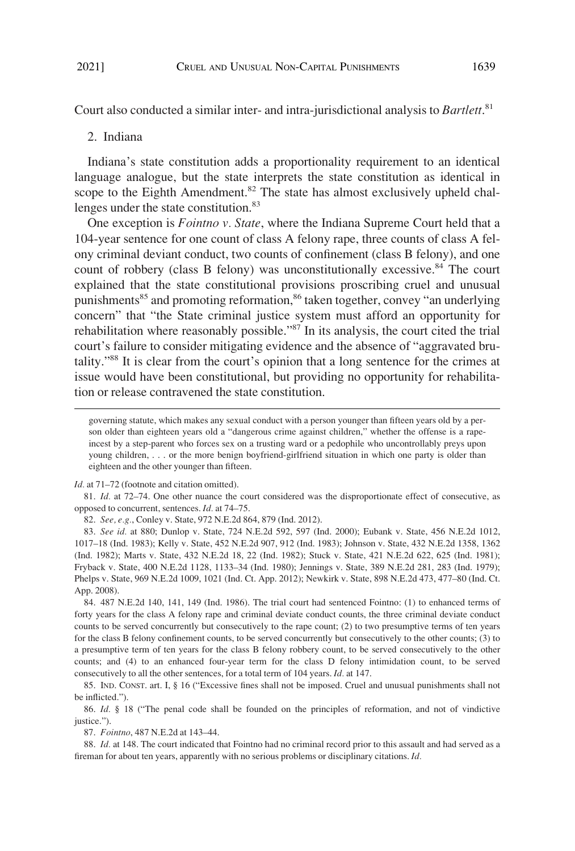<span id="page-12-0"></span>Court also conducted a similar inter- and intra-jurisdictional analysis to *Bartlett*. 81

#### 2. Indiana

Indiana's state constitution adds a proportionality requirement to an identical language analogue, but the state interprets the state constitution as identical in scope to the Eighth Amendment.<sup>82</sup> The state has almost exclusively upheld challenges under the state constitution.<sup>83</sup>

One exception is *Fointno v. State*, where the Indiana Supreme Court held that a 104-year sentence for one count of class A felony rape, three counts of class A felony criminal deviant conduct, two counts of confinement (class B felony), and one count of robbery (class B felony) was unconstitutionally excessive.<sup>84</sup> The court explained that the state constitutional provisions proscribing cruel and unusual punishments<sup>85</sup> and promoting reformation,<sup>86</sup> taken together, convey "an underlying concern" that "the State criminal justice system must afford an opportunity for rehabilitation where reasonably possible."87 In its analysis, the court cited the trial court's failure to consider mitigating evidence and the absence of "aggravated brutality."88 It is clear from the court's opinion that a long sentence for the crimes at issue would have been constitutional, but providing no opportunity for rehabilitation or release contravened the state constitution.

*Id.* at 71–72 (footnote and citation omitted).

81. *Id.* at 72–74. One other nuance the court considered was the disproportionate effect of consecutive, as opposed to concurrent, sentences. *Id.* at 74–75.

82. *See, e.g.*, Conley v. State, 972 N.E.2d 864, 879 (Ind. 2012).

83. *See id.* at 880; Dunlop v. State, 724 N.E.2d 592, 597 (Ind. 2000); Eubank v. State, 456 N.E.2d 1012, 1017–18 (Ind. 1983); Kelly v. State, 452 N.E.2d 907, 912 (Ind. 1983); Johnson v. State, 432 N.E.2d 1358, 1362 (Ind. 1982); Marts v. State, 432 N.E.2d 18, 22 (Ind. 1982); Stuck v. State, 421 N.E.2d 622, 625 (Ind. 1981); Fryback v. State, 400 N.E.2d 1128, 1133–34 (Ind. 1980); Jennings v. State, 389 N.E.2d 281, 283 (Ind. 1979); Phelps v. State, 969 N.E.2d 1009, 1021 (Ind. Ct. App. 2012); Newkirk v. State, 898 N.E.2d 473, 477–80 (Ind. Ct. App. 2008).

84. 487 N.E.2d 140, 141, 149 (Ind. 1986). The trial court had sentenced Fointno: (1) to enhanced terms of forty years for the class A felony rape and criminal deviate conduct counts, the three criminal deviate conduct counts to be served concurrently but consecutively to the rape count; (2) to two presumptive terms of ten years for the class B felony confinement counts, to be served concurrently but consecutively to the other counts; (3) to a presumptive term of ten years for the class B felony robbery count, to be served consecutively to the other counts; and (4) to an enhanced four-year term for the class D felony intimidation count, to be served consecutively to all the other sentences, for a total term of 104 years. *Id.* at 147.

85. IND. CONST. art. I, § 16 ("Excessive fines shall not be imposed. Cruel and unusual punishments shall not be inflicted.").

86. *Id.* § 18 ("The penal code shall be founded on the principles of reformation, and not of vindictive justice.").

87. *Fointno*, 487 N.E.2d at 143–44.

88. *Id.* at 148. The court indicated that Fointno had no criminal record prior to this assault and had served as a fireman for about ten years, apparently with no serious problems or disciplinary citations. *Id.* 

governing statute, which makes any sexual conduct with a person younger than fifteen years old by a person older than eighteen years old a "dangerous crime against children," whether the offense is a rapeincest by a step-parent who forces sex on a trusting ward or a pedophile who uncontrollably preys upon young children, . . . or the more benign boyfriend-girlfriend situation in which one party is older than eighteen and the other younger than fifteen.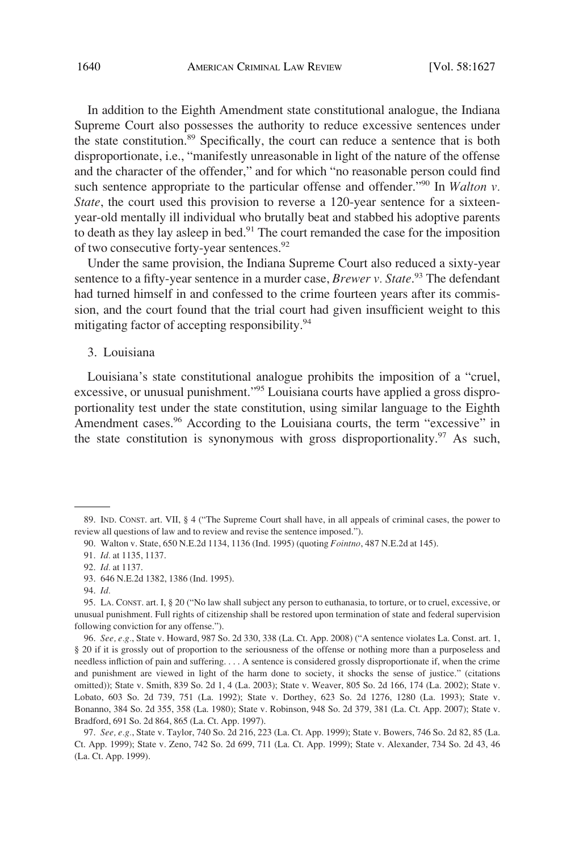<span id="page-13-0"></span>In addition to the Eighth Amendment state constitutional analogue, the Indiana Supreme Court also possesses the authority to reduce excessive sentences under the state constitution.89 Specifically, the court can reduce a sentence that is both disproportionate, i.e., "manifestly unreasonable in light of the nature of the offense and the character of the offender," and for which "no reasonable person could find such sentence appropriate to the particular offense and offender.<sup>"90</sup> In *Walton v*. *State*, the court used this provision to reverse a 120-year sentence for a sixteenyear-old mentally ill individual who brutally beat and stabbed his adoptive parents to death as they lay asleep in bed.<sup>91</sup> The court remanded the case for the imposition of two consecutive forty-year sentences.<sup>92</sup>

Under the same provision, the Indiana Supreme Court also reduced a sixty-year sentence to a fifty-year sentence in a murder case, *Brewer v. State*. 93 The defendant had turned himself in and confessed to the crime fourteen years after its commission, and the court found that the trial court had given insufficient weight to this mitigating factor of accepting responsibility.<sup>94</sup>

## 3. Louisiana

Louisiana's state constitutional analogue prohibits the imposition of a "cruel, excessive, or unusual punishment."<sup>95</sup> Louisiana courts have applied a gross disproportionality test under the state constitution, using similar language to the Eighth Amendment cases.<sup>96</sup> According to the Louisiana courts, the term "excessive" in the state constitution is synonymous with gross disproportionality.<sup>97</sup> As such,

<sup>89.</sup> IND. CONST. art. VII, § 4 ("The Supreme Court shall have, in all appeals of criminal cases, the power to review all questions of law and to review and revise the sentence imposed.").

<sup>90.</sup> Walton v. State, 650 N.E.2d 1134, 1136 (Ind. 1995) (quoting *Fointno*, 487 N.E.2d at 145).

<sup>91.</sup> *Id.* at 1135, 1137.

<sup>92.</sup> *Id.* at 1137.

<sup>93. 646</sup> N.E.2d 1382, 1386 (Ind. 1995).

<sup>94.</sup> *Id.* 

<sup>95.</sup> LA. CONST. art. I, § 20 ("No law shall subject any person to euthanasia, to torture, or to cruel, excessive, or unusual punishment. Full rights of citizenship shall be restored upon termination of state and federal supervision following conviction for any offense.").

<sup>96.</sup> *See, e.g.*, State v. Howard, 987 So. 2d 330, 338 (La. Ct. App. 2008) ("A sentence violates La. Const. art. 1, § 20 if it is grossly out of proportion to the seriousness of the offense or nothing more than a purposeless and needless infliction of pain and suffering. . . . A sentence is considered grossly disproportionate if, when the crime and punishment are viewed in light of the harm done to society, it shocks the sense of justice." (citations omitted)); State v. Smith, 839 So. 2d 1, 4 (La. 2003); State v. Weaver, 805 So. 2d 166, 174 (La. 2002); State v. Lobato, 603 So. 2d 739, 751 (La. 1992); State v. Dorthey, 623 So. 2d 1276, 1280 (La. 1993); State v. Bonanno, 384 So. 2d 355, 358 (La. 1980); State v. Robinson, 948 So. 2d 379, 381 (La. Ct. App. 2007); State v. Bradford, 691 So. 2d 864, 865 (La. Ct. App. 1997).

<sup>97.</sup> *See, e.g.*, State v. Taylor, 740 So. 2d 216, 223 (La. Ct. App. 1999); State v. Bowers, 746 So. 2d 82, 85 (La. Ct. App. 1999); State v. Zeno, 742 So. 2d 699, 711 (La. Ct. App. 1999); State v. Alexander, 734 So. 2d 43, 46 (La. Ct. App. 1999).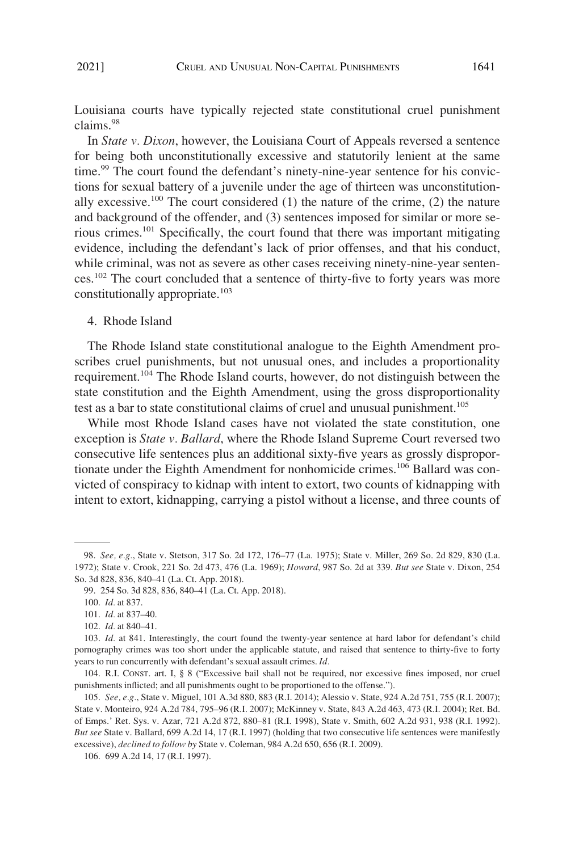<span id="page-14-0"></span>Louisiana courts have typically rejected state constitutional cruel punishment claims.98

In *State v. Dixon*, however, the Louisiana Court of Appeals reversed a sentence for being both unconstitutionally excessive and statutorily lenient at the same time.<sup>99</sup> The court found the defendant's ninety-nine-year sentence for his convictions for sexual battery of a juvenile under the age of thirteen was unconstitutionally excessive.<sup>100</sup> The court considered  $(1)$  the nature of the crime,  $(2)$  the nature and background of the offender, and (3) sentences imposed for similar or more serious crimes.101 Specifically, the court found that there was important mitigating evidence, including the defendant's lack of prior offenses, and that his conduct, while criminal, was not as severe as other cases receiving ninety-nine-year sentences.102 The court concluded that a sentence of thirty-five to forty years was more constitutionally appropriate.<sup>103</sup>

#### 4. Rhode Island

The Rhode Island state constitutional analogue to the Eighth Amendment proscribes cruel punishments, but not unusual ones, and includes a proportionality requirement.<sup>104</sup> The Rhode Island courts, however, do not distinguish between the state constitution and the Eighth Amendment, using the gross disproportionality test as a bar to state constitutional claims of cruel and unusual punishment.<sup>105</sup>

While most Rhode Island cases have not violated the state constitution, one exception is *State v. Ballard*, where the Rhode Island Supreme Court reversed two consecutive life sentences plus an additional sixty-five years as grossly disproportionate under the Eighth Amendment for nonhomicide crimes.106 Ballard was convicted of conspiracy to kidnap with intent to extort, two counts of kidnapping with intent to extort, kidnapping, carrying a pistol without a license, and three counts of

<sup>98.</sup> *See, e.g.*, State v. Stetson, 317 So. 2d 172, 176–77 (La. 1975); State v. Miller, 269 So. 2d 829, 830 (La. 1972); State v. Crook, 221 So. 2d 473, 476 (La. 1969); *Howard*, 987 So. 2d at 339. *But see* State v. Dixon, 254 So. 3d 828, 836, 840–41 (La. Ct. App. 2018).

<sup>99. 254</sup> So. 3d 828, 836, 840–41 (La. Ct. App. 2018).

<sup>100.</sup> *Id.* at 837.

<sup>101.</sup> *Id.* at 837–40.

<sup>102.</sup> *Id.* at 840–41.

<sup>103.</sup> *Id.* at 841. Interestingly, the court found the twenty-year sentence at hard labor for defendant's child pornography crimes was too short under the applicable statute, and raised that sentence to thirty-five to forty years to run concurrently with defendant's sexual assault crimes. *Id.* 

<sup>104.</sup> R.I. CONST. art. I, § 8 ("Excessive bail shall not be required, nor excessive fines imposed, nor cruel punishments inflicted; and all punishments ought to be proportioned to the offense.").

<sup>105.</sup> *See, e.g.*, State v. Miguel, 101 A.3d 880, 883 (R.I. 2014); Alessio v. State, 924 A.2d 751, 755 (R.I. 2007); State v. Monteiro, 924 A.2d 784, 795–96 (R.I. 2007); McKinney v. State, 843 A.2d 463, 473 (R.I. 2004); Ret. Bd. of Emps.' Ret. Sys. v. Azar, 721 A.2d 872, 880–81 (R.I. 1998), State v. Smith, 602 A.2d 931, 938 (R.I. 1992). *But see* State v. Ballard, 699 A.2d 14, 17 (R.I. 1997) (holding that two consecutive life sentences were manifestly excessive), *declined to follow by* State v. Coleman, 984 A.2d 650, 656 (R.I. 2009).

<sup>106. 699</sup> A.2d 14, 17 (R.I. 1997).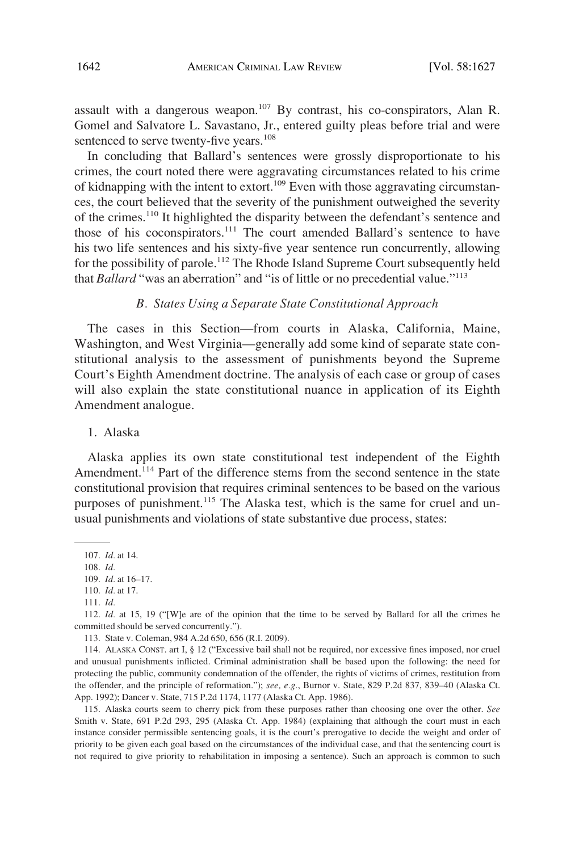<span id="page-15-0"></span>assault with a dangerous weapon.<sup>107</sup> By contrast, his co-conspirators, Alan R. Gomel and Salvatore L. Savastano, Jr., entered guilty pleas before trial and were sentenced to serve twenty-five years.<sup>108</sup>

In concluding that Ballard's sentences were grossly disproportionate to his crimes, the court noted there were aggravating circumstances related to his crime of kidnapping with the intent to extort.<sup>109</sup> Even with those aggravating circumstances, the court believed that the severity of the punishment outweighed the severity of the crimes.110 It highlighted the disparity between the defendant's sentence and those of his coconspirators.<sup>111</sup> The court amended Ballard's sentence to have his two life sentences and his sixty-five year sentence run concurrently, allowing for the possibility of parole.<sup>112</sup> The Rhode Island Supreme Court subsequently held that *Ballard* "was an aberration" and "is of little or no precedential value."<sup>113</sup>

## *B. States Using a Separate State Constitutional Approach*

The cases in this Section—from courts in Alaska, California, Maine, Washington, and West Virginia—generally add some kind of separate state constitutional analysis to the assessment of punishments beyond the Supreme Court's Eighth Amendment doctrine. The analysis of each case or group of cases will also explain the state constitutional nuance in application of its Eighth Amendment analogue.

1. Alaska

Alaska applies its own state constitutional test independent of the Eighth Amendment.<sup>114</sup> Part of the difference stems from the second sentence in the state constitutional provision that requires criminal sentences to be based on the various purposes of punishment.<sup>115</sup> The Alaska test, which is the same for cruel and unusual punishments and violations of state substantive due process, states:

115. Alaska courts seem to cherry pick from these purposes rather than choosing one over the other. *See*  Smith v. State, 691 P.2d 293, 295 (Alaska Ct. App. 1984) (explaining that although the court must in each instance consider permissible sentencing goals, it is the court's prerogative to decide the weight and order of priority to be given each goal based on the circumstances of the individual case, and that the sentencing court is not required to give priority to rehabilitation in imposing a sentence). Such an approach is common to such

<sup>107.</sup> *Id.* at 14.

<sup>108.</sup> *Id.* 

<sup>109.</sup> *Id.* at 16–17.

<sup>110.</sup> *Id.* at 17.

<sup>111.</sup> *Id.* 

<sup>112.</sup> *Id.* at 15, 19 ("[W]e are of the opinion that the time to be served by Ballard for all the crimes he committed should be served concurrently.").

<sup>113.</sup> State v. Coleman, 984 A.2d 650, 656 (R.I. 2009).

<sup>114.</sup> ALASKA CONST. art I, § 12 ("Excessive bail shall not be required, nor excessive fines imposed, nor cruel and unusual punishments inflicted. Criminal administration shall be based upon the following: the need for protecting the public, community condemnation of the offender, the rights of victims of crimes, restitution from the offender, and the principle of reformation."); *see, e.g.*, Burnor v. State, 829 P.2d 837, 839–40 (Alaska Ct. App. 1992); Dancer v. State, 715 P.2d 1174, 1177 (Alaska Ct. App. 1986).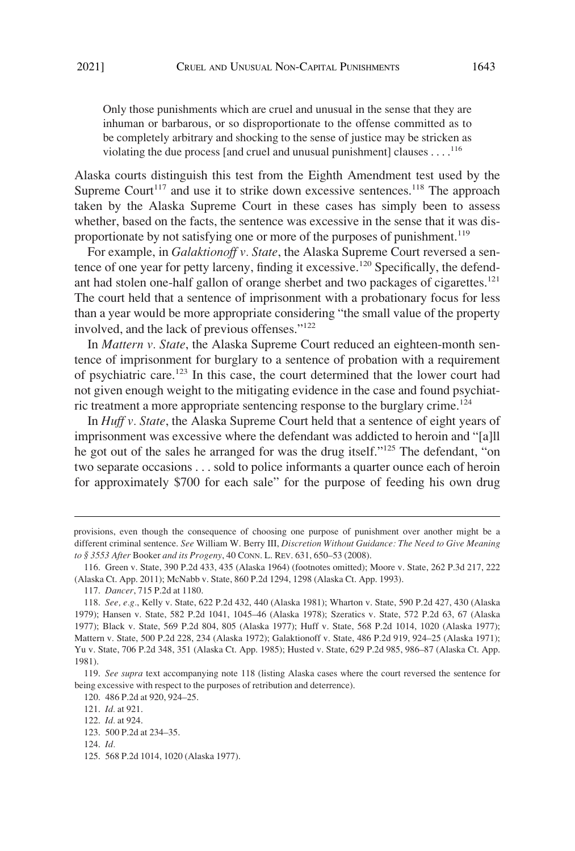Only those punishments which are cruel and unusual in the sense that they are inhuman or barbarous, or so disproportionate to the offense committed as to be completely arbitrary and shocking to the sense of justice may be stricken as violating the due process [and cruel and unusual punishment] clauses . . . .<sup>116</sup>

Alaska courts distinguish this test from the Eighth Amendment test used by the Supreme Court<sup>117</sup> and use it to strike down excessive sentences.<sup>118</sup> The approach taken by the Alaska Supreme Court in these cases has simply been to assess whether, based on the facts, the sentence was excessive in the sense that it was disproportionate by not satisfying one or more of the purposes of punishment.<sup>119</sup>

For example, in *Galaktionoff v. State*, the Alaska Supreme Court reversed a sentence of one year for petty larceny, finding it excessive.<sup>120</sup> Specifically, the defendant had stolen one-half gallon of orange sherbet and two packages of cigarettes.<sup>121</sup> The court held that a sentence of imprisonment with a probationary focus for less than a year would be more appropriate considering "the small value of the property involved, and the lack of previous offenses."122

In *Mattern v. State*, the Alaska Supreme Court reduced an eighteen-month sentence of imprisonment for burglary to a sentence of probation with a requirement of psychiatric care.123 In this case, the court determined that the lower court had not given enough weight to the mitigating evidence in the case and found psychiatric treatment a more appropriate sentencing response to the burglary crime.<sup>124</sup>

In *Huff v. State*, the Alaska Supreme Court held that a sentence of eight years of imprisonment was excessive where the defendant was addicted to heroin and "[a]ll he got out of the sales he arranged for was the drug itself."125 The defendant, "on two separate occasions . . . sold to police informants a quarter ounce each of heroin for approximately \$700 for each sale" for the purpose of feeding his own drug

124. *Id.* 

provisions, even though the consequence of choosing one purpose of punishment over another might be a different criminal sentence. *See* William W. Berry III, *Discretion Without Guidance: The Need to Give Meaning to § 3553 After* Booker *and its Progeny*, 40 CONN. L. REV. 631, 650–53 (2008).

<sup>116.</sup> Green v. State, 390 P.2d 433, 435 (Alaska 1964) (footnotes omitted); Moore v. State, 262 P.3d 217, 222 (Alaska Ct. App. 2011); McNabb v. State, 860 P.2d 1294, 1298 (Alaska Ct. App. 1993).

<sup>117.</sup> *Dancer*, 715 P.2d at 1180.

<sup>118.</sup> *See, e.g.*, Kelly v. State, 622 P.2d 432, 440 (Alaska 1981); Wharton v. State, 590 P.2d 427, 430 (Alaska 1979); Hansen v. State, 582 P.2d 1041, 1045–46 (Alaska 1978); Szeratics v. State, 572 P.2d 63, 67 (Alaska 1977); Black v. State, 569 P.2d 804, 805 (Alaska 1977); Huff v. State, 568 P.2d 1014, 1020 (Alaska 1977); Mattern v. State, 500 P.2d 228, 234 (Alaska 1972); Galaktionoff v. State, 486 P.2d 919, 924–25 (Alaska 1971); Yu v. State, 706 P.2d 348, 351 (Alaska Ct. App. 1985); Husted v. State, 629 P.2d 985, 986–87 (Alaska Ct. App. 1981).

<sup>119.</sup> *See supra* text accompanying note 118 (listing Alaska cases where the court reversed the sentence for being excessive with respect to the purposes of retribution and deterrence).

<sup>120. 486</sup> P.2d at 920, 924–25.

<sup>121.</sup> *Id.* at 921.

<sup>122.</sup> *Id.* at 924.

<sup>123. 500</sup> P.2d at 234–35.

<sup>125. 568</sup> P.2d 1014, 1020 (Alaska 1977).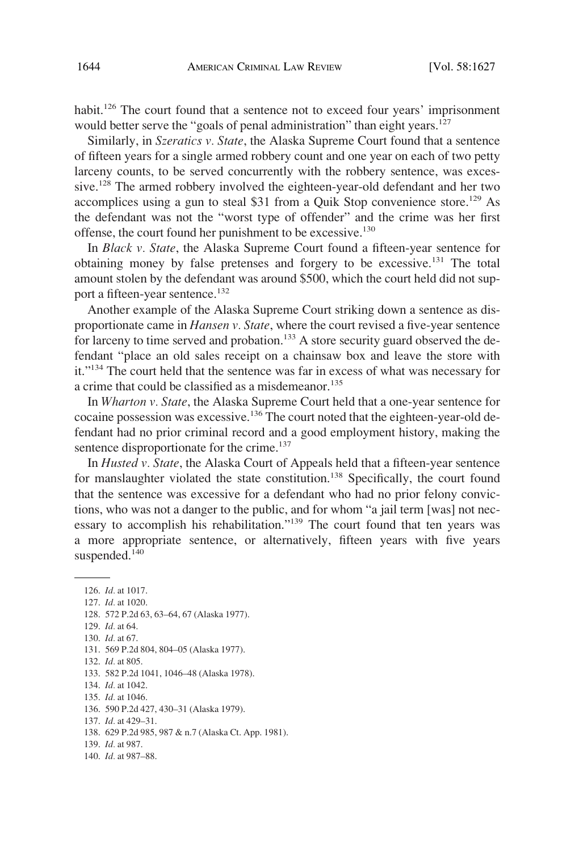habit.<sup>126</sup> The court found that a sentence not to exceed four years' imprisonment would better serve the "goals of penal administration" than eight years.<sup>127</sup>

Similarly, in *Szeratics v. State*, the Alaska Supreme Court found that a sentence of fifteen years for a single armed robbery count and one year on each of two petty larceny counts, to be served concurrently with the robbery sentence, was excessive.<sup>128</sup> The armed robbery involved the eighteen-year-old defendant and her two accomplices using a gun to steal \$31 from a Quik Stop convenience store.<sup>129</sup> As the defendant was not the "worst type of offender" and the crime was her first offense, the court found her punishment to be excessive.<sup>130</sup>

In *Black v. State*, the Alaska Supreme Court found a fifteen-year sentence for obtaining money by false pretenses and forgery to be excessive.<sup>131</sup> The total amount stolen by the defendant was around \$500, which the court held did not support a fifteen-year sentence.<sup>132</sup>

Another example of the Alaska Supreme Court striking down a sentence as disproportionate came in *Hansen v. State*, where the court revised a five-year sentence for larceny to time served and probation.<sup>133</sup> A store security guard observed the defendant "place an old sales receipt on a chainsaw box and leave the store with it."134 The court held that the sentence was far in excess of what was necessary for a crime that could be classified as a misdemeanor.<sup>135</sup>

In *Wharton v. State*, the Alaska Supreme Court held that a one-year sentence for cocaine possession was excessive.<sup>136</sup> The court noted that the eighteen-year-old defendant had no prior criminal record and a good employment history, making the sentence disproportionate for the crime.<sup>137</sup>

In *Husted v. State*, the Alaska Court of Appeals held that a fifteen-year sentence for manslaughter violated the state constitution.<sup>138</sup> Specifically, the court found that the sentence was excessive for a defendant who had no prior felony convictions, who was not a danger to the public, and for whom "a jail term [was] not necessary to accomplish his rehabilitation."139 The court found that ten years was a more appropriate sentence, or alternatively, fifteen years with five years suspended.<sup>140</sup>

127. *Id.* at 1020.

- 129. *Id.* at 64.
- 130. *Id.* at 67.
- 131. 569 P.2d 804, 804–05 (Alaska 1977).
- 132. *Id.* at 805.

133. 582 P.2d 1041, 1046–48 (Alaska 1978).

- 134. *Id.* at 1042.
- 135. *Id.* at 1046.

- 137. *Id.* at 429–31.
- 138. 629 P.2d 985, 987 & n.7 (Alaska Ct. App. 1981).
- 139. *Id.* at 987.
- 140. *Id.* at 987–88.

<sup>126.</sup> *Id.* at 1017.

<sup>128. 572</sup> P.2d 63, 63–64, 67 (Alaska 1977).

<sup>136. 590</sup> P.2d 427, 430–31 (Alaska 1979).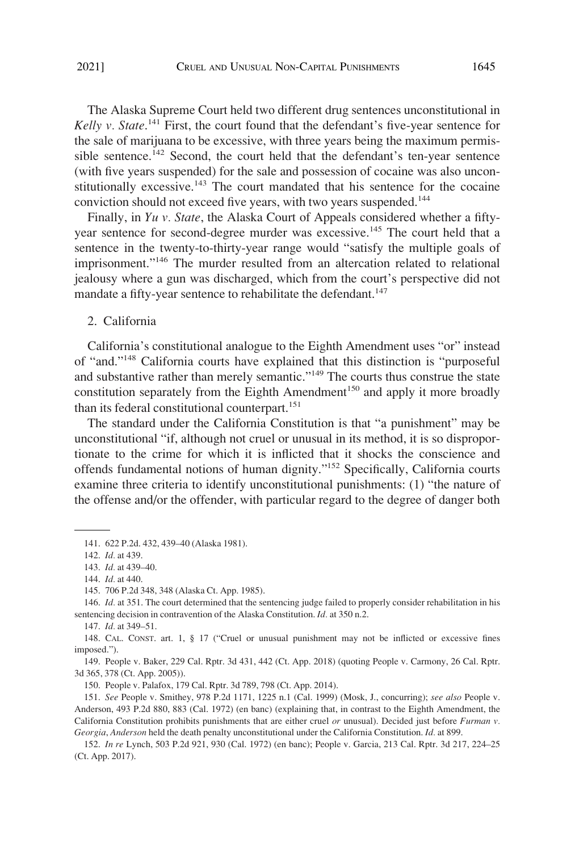<span id="page-18-0"></span>The Alaska Supreme Court held two different drug sentences unconstitutional in Kelly v. State.<sup>141</sup> First, the court found that the defendant's five-year sentence for the sale of marijuana to be excessive, with three years being the maximum permissible sentence.<sup>142</sup> Second, the court held that the defendant's ten-year sentence (with five years suspended) for the sale and possession of cocaine was also unconstitutionally excessive.<sup>143</sup> The court mandated that his sentence for the cocaine conviction should not exceed five years, with two years suspended.<sup>144</sup>

Finally, in *Yu v. State*, the Alaska Court of Appeals considered whether a fiftyyear sentence for second-degree murder was excessive.<sup>145</sup> The court held that a sentence in the twenty-to-thirty-year range would "satisfy the multiple goals of imprisonment."146 The murder resulted from an altercation related to relational jealousy where a gun was discharged, which from the court's perspective did not mandate a fifty-year sentence to rehabilitate the defendant.<sup>147</sup>

2. California

California's constitutional analogue to the Eighth Amendment uses "or" instead of "and."148 California courts have explained that this distinction is "purposeful and substantive rather than merely semantic."<sup>149</sup> The courts thus construe the state constitution separately from the Eighth Amendment<sup>150</sup> and apply it more broadly than its federal constitutional counterpart.<sup>151</sup>

The standard under the California Constitution is that "a punishment" may be unconstitutional "if, although not cruel or unusual in its method, it is so disproportionate to the crime for which it is inflicted that it shocks the conscience and offends fundamental notions of human dignity."152 Specifically, California courts examine three criteria to identify unconstitutional punishments: (1) "the nature of the offense and/or the offender, with particular regard to the degree of danger both

147. *Id.* at 349–51.

150. People v. Palafox, 179 Cal. Rptr. 3d 789, 798 (Ct. App. 2014).

151. *See* People v. Smithey, 978 P.2d 1171, 1225 n.1 (Cal. 1999) (Mosk, J., concurring); *see also* People v. Anderson, 493 P.2d 880, 883 (Cal. 1972) (en banc) (explaining that, in contrast to the Eighth Amendment, the California Constitution prohibits punishments that are either cruel *or* unusual). Decided just before *Furman v. Georgia*, *Anderson* held the death penalty unconstitutional under the California Constitution. *Id.* at 899.

152. *In re* Lynch, 503 P.2d 921, 930 (Cal. 1972) (en banc); People v. Garcia, 213 Cal. Rptr. 3d 217, 224–25 (Ct. App. 2017).

<sup>141. 622</sup> P.2d. 432, 439–40 (Alaska 1981).

<sup>142.</sup> *Id.* at 439.

<sup>143.</sup> *Id.* at 439–40.

<sup>144.</sup> *Id.* at 440.

<sup>145. 706</sup> P.2d 348, 348 (Alaska Ct. App. 1985).

<sup>146.</sup> *Id.* at 351. The court determined that the sentencing judge failed to properly consider rehabilitation in his sentencing decision in contravention of the Alaska Constitution. *Id.* at 350 n.2.

<sup>148.</sup> CAL. CONST. art. 1, § 17 ("Cruel or unusual punishment may not be inflicted or excessive fines imposed.").

<sup>149.</sup> People v. Baker, 229 Cal. Rptr. 3d 431, 442 (Ct. App. 2018) (quoting People v. Carmony, 26 Cal. Rptr. 3d 365, 378 (Ct. App. 2005)).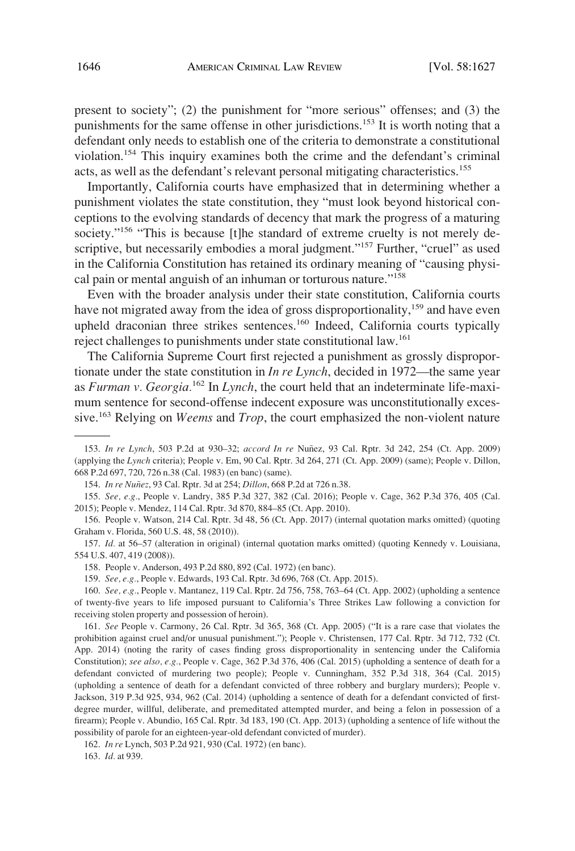present to society"; (2) the punishment for "more serious" offenses; and (3) the punishments for the same offense in other jurisdictions.153 It is worth noting that a defendant only needs to establish one of the criteria to demonstrate a constitutional violation.154 This inquiry examines both the crime and the defendant's criminal acts, as well as the defendant's relevant personal mitigating characteristics.<sup>155</sup>

Importantly, California courts have emphasized that in determining whether a punishment violates the state constitution, they "must look beyond historical conceptions to the evolving standards of decency that mark the progress of a maturing society."<sup>156</sup> "This is because [t]he standard of extreme cruelty is not merely descriptive, but necessarily embodies a moral judgment."<sup>157</sup> Further, "cruel" as used in the California Constitution has retained its ordinary meaning of "causing physical pain or mental anguish of an inhuman or torturous nature."<sup>158</sup>

Even with the broader analysis under their state constitution, California courts have not migrated away from the idea of gross disproportionality,<sup>159</sup> and have even upheld draconian three strikes sentences.<sup>160</sup> Indeed, California courts typically reject challenges to punishments under state constitutional law.161

The California Supreme Court first rejected a punishment as grossly disproportionate under the state constitution in *In re Lynch*, decided in 1972—the same year as *Furman v. Georgia.*162 In *Lynch*, the court held that an indeterminate life-maximum sentence for second-offense indecent exposure was unconstitutionally excessive.163 Relying on *Weems* and *Trop*, the court emphasized the non-violent nature

<sup>153.</sup> *In re Lynch*, 503 P.2d at 930–32; *accord In re Nuñez*, 93 Cal. Rptr. 3d 242, 254 (Ct. App. 2009) (applying the *Lynch* criteria); People v. Em, 90 Cal. Rptr. 3d 264, 271 (Ct. App. 2009) (same); People v. Dillon, 668 P.2d 697, 720, 726 n.38 (Cal. 1983) (en banc) (same).

<sup>154.</sup> *In re Nuñez*, 93 Cal. Rptr. 3d at 254; *Dillon*, 668 P.2d at 726 n.38.

<sup>155.</sup> *See, e.g.*, People v. Landry, 385 P.3d 327, 382 (Cal. 2016); People v. Cage, 362 P.3d 376, 405 (Cal. 2015); People v. Mendez, 114 Cal. Rptr. 3d 870, 884–85 (Ct. App. 2010).

<sup>156.</sup> People v. Watson, 214 Cal. Rptr. 3d 48, 56 (Ct. App. 2017) (internal quotation marks omitted) (quoting Graham v. Florida, 560 U.S. 48, 58 (2010)).

<sup>157.</sup> *Id.* at 56–57 (alteration in original) (internal quotation marks omitted) (quoting Kennedy v. Louisiana, 554 U.S. 407, 419 (2008)).

<sup>158.</sup> People v. Anderson, 493 P.2d 880, 892 (Cal. 1972) (en banc).

<sup>159.</sup> *See, e.g.*, People v. Edwards, 193 Cal. Rptr. 3d 696, 768 (Ct. App. 2015).

<sup>160.</sup> *See, e.g.*, People v. Mantanez, 119 Cal. Rptr. 2d 756, 758, 763–64 (Ct. App. 2002) (upholding a sentence of twenty-five years to life imposed pursuant to California's Three Strikes Law following a conviction for receiving stolen property and possession of heroin).

<sup>161.</sup> *See* People v. Carmony, 26 Cal. Rptr. 3d 365, 368 (Ct. App. 2005) ("It is a rare case that violates the prohibition against cruel and/or unusual punishment."); People v. Christensen, 177 Cal. Rptr. 3d 712, 732 (Ct. App. 2014) (noting the rarity of cases finding gross disproportionality in sentencing under the California Constitution); *see also, e.g.*, People v. Cage, 362 P.3d 376, 406 (Cal. 2015) (upholding a sentence of death for a defendant convicted of murdering two people); People v. Cunningham, 352 P.3d 318, 364 (Cal. 2015) (upholding a sentence of death for a defendant convicted of three robbery and burglary murders); People v. Jackson, 319 P.3d 925, 934, 962 (Cal. 2014) (upholding a sentence of death for a defendant convicted of firstdegree murder, willful, deliberate, and premeditated attempted murder, and being a felon in possession of a firearm); People v. Abundio, 165 Cal. Rptr. 3d 183, 190 (Ct. App. 2013) (upholding a sentence of life without the possibility of parole for an eighteen-year-old defendant convicted of murder).

<sup>162.</sup> *In re* Lynch, 503 P.2d 921, 930 (Cal. 1972) (en banc).

<sup>163.</sup> *Id.* at 939.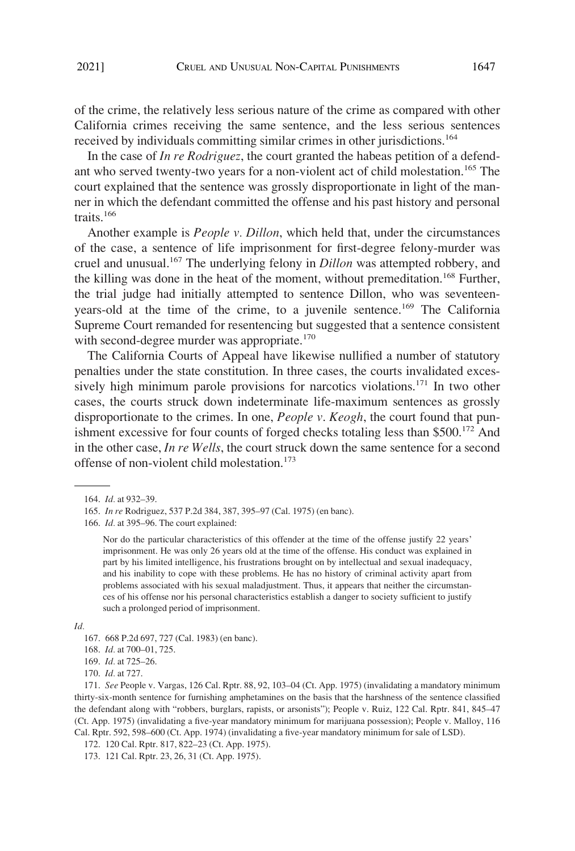of the crime, the relatively less serious nature of the crime as compared with other California crimes receiving the same sentence, and the less serious sentences received by individuals committing similar crimes in other jurisdictions.<sup>164</sup>

In the case of *In re Rodriguez*, the court granted the habeas petition of a defendant who served twenty-two years for a non-violent act of child molestation.<sup>165</sup> The court explained that the sentence was grossly disproportionate in light of the manner in which the defendant committed the offense and his past history and personal traits.<sup>166</sup>

Another example is *People v. Dillon*, which held that, under the circumstances of the case, a sentence of life imprisonment for first-degree felony-murder was cruel and unusual.<sup>167</sup> The underlying felony in *Dillon* was attempted robbery, and the killing was done in the heat of the moment, without premeditation.<sup>168</sup> Further, the trial judge had initially attempted to sentence Dillon, who was seventeenyears-old at the time of the crime, to a juvenile sentence.<sup>169</sup> The California Supreme Court remanded for resentencing but suggested that a sentence consistent with second-degree murder was appropriate.<sup>170</sup>

The California Courts of Appeal have likewise nullified a number of statutory penalties under the state constitution. In three cases, the courts invalidated excessively high minimum parole provisions for narcotics violations.<sup>171</sup> In two other cases, the courts struck down indeterminate life-maximum sentences as grossly disproportionate to the crimes. In one, *People v*. *Keogh*, the court found that punishment excessive for four counts of forged checks totaling less than  $$500.<sup>172</sup>$  And in the other case, *In re Wells*, the court struck down the same sentence for a second offense of non-violent child molestation.<sup>173</sup>

172. 120 Cal. Rptr. 817, 822–23 (Ct. App. 1975).

<sup>164.</sup> *Id.* at 932–39.

<sup>165.</sup> *In re* Rodriguez, 537 P.2d 384, 387, 395–97 (Cal. 1975) (en banc).

<sup>166.</sup> *Id.* at 395–96. The court explained:

Nor do the particular characteristics of this offender at the time of the offense justify 22 years' imprisonment. He was only 26 years old at the time of the offense. His conduct was explained in part by his limited intelligence, his frustrations brought on by intellectual and sexual inadequacy, and his inability to cope with these problems. He has no history of criminal activity apart from problems associated with his sexual maladjustment. Thus, it appears that neither the circumstances of his offense nor his personal characteristics establish a danger to society sufficient to justify such a prolonged period of imprisonment.

*Id.* 

<sup>167. 668</sup> P.2d 697, 727 (Cal. 1983) (en banc).

<sup>168.</sup> *Id.* at 700–01, 725.

<sup>169.</sup> *Id.* at 725–26.

<sup>170.</sup> *Id.* at 727.

<sup>171.</sup> *See* People v. Vargas, 126 Cal. Rptr. 88, 92, 103–04 (Ct. App. 1975) (invalidating a mandatory minimum thirty-six-month sentence for furnishing amphetamines on the basis that the harshness of the sentence classified the defendant along with "robbers, burglars, rapists, or arsonists"); People v. Ruiz, 122 Cal. Rptr. 841, 845–47 (Ct. App. 1975) (invalidating a five-year mandatory minimum for marijuana possession); People v. Malloy, 116 Cal. Rptr. 592, 598–600 (Ct. App. 1974) (invalidating a five-year mandatory minimum for sale of LSD).

<sup>173. 121</sup> Cal. Rptr. 23, 26, 31 (Ct. App. 1975).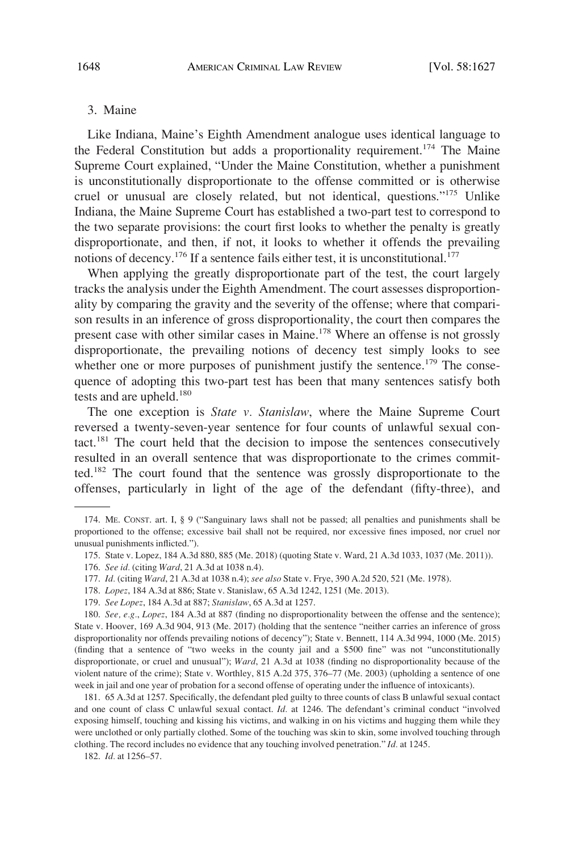#### <span id="page-21-0"></span>3. Maine

Like Indiana, Maine's Eighth Amendment analogue uses identical language to the Federal Constitution but adds a proportionality requirement.<sup>174</sup> The Maine Supreme Court explained, "Under the Maine Constitution, whether a punishment is unconstitutionally disproportionate to the offense committed or is otherwise cruel or unusual are closely related, but not identical, questions."175 Unlike Indiana, the Maine Supreme Court has established a two-part test to correspond to the two separate provisions: the court first looks to whether the penalty is greatly disproportionate, and then, if not, it looks to whether it offends the prevailing notions of decency.<sup>176</sup> If a sentence fails either test, it is unconstitutional.<sup>177</sup>

When applying the greatly disproportionate part of the test, the court largely tracks the analysis under the Eighth Amendment. The court assesses disproportionality by comparing the gravity and the severity of the offense; where that comparison results in an inference of gross disproportionality, the court then compares the present case with other similar cases in Maine.<sup>178</sup> Where an offense is not grossly disproportionate, the prevailing notions of decency test simply looks to see whether one or more purposes of punishment justify the sentence.<sup>179</sup> The consequence of adopting this two-part test has been that many sentences satisfy both tests and are upheld.<sup>180</sup>

The one exception is *State v. Stanislaw*, where the Maine Supreme Court reversed a twenty-seven-year sentence for four counts of unlawful sexual contact.181 The court held that the decision to impose the sentences consecutively resulted in an overall sentence that was disproportionate to the crimes committed.182 The court found that the sentence was grossly disproportionate to the offenses, particularly in light of the age of the defendant (fifty-three), and

175. State v. Lopez, 184 A.3d 880, 885 (Me. 2018) (quoting State v. Ward, 21 A.3d 1033, 1037 (Me. 2011)).

177. *Id.* (citing *Ward*, 21 A.3d at 1038 n.4); *see also* State v. Frye, 390 A.2d 520, 521 (Me. 1978).

<sup>174.</sup> ME. CONST. art. I, § 9 ("Sanguinary laws shall not be passed; all penalties and punishments shall be proportioned to the offense; excessive bail shall not be required, nor excessive fines imposed, nor cruel nor unusual punishments inflicted.").

<sup>176.</sup> *See id.* (citing *Ward*, 21 A.3d at 1038 n.4).

<sup>178.</sup> *Lopez*, 184 A.3d at 886; State v. Stanislaw, 65 A.3d 1242, 1251 (Me. 2013).

<sup>179.</sup> *See Lopez*, 184 A.3d at 887; *Stanislaw*, 65 A.3d at 1257.

<sup>180.</sup> *See, e.g.*, *Lopez*, 184 A.3d at 887 (finding no disproportionality between the offense and the sentence); State v. Hoover, 169 A.3d 904, 913 (Me. 2017) (holding that the sentence "neither carries an inference of gross disproportionality nor offends prevailing notions of decency"); State v. Bennett, 114 A.3d 994, 1000 (Me. 2015) (finding that a sentence of "two weeks in the county jail and a \$500 fine" was not "unconstitutionally disproportionate, or cruel and unusual"); *Ward*, 21 A.3d at 1038 (finding no disproportionality because of the violent nature of the crime); State v. Worthley, 815 A.2d 375, 376–77 (Me. 2003) (upholding a sentence of one week in jail and one year of probation for a second offense of operating under the influence of intoxicants).

<sup>181. 65</sup> A.3d at 1257. Specifically, the defendant pled guilty to three counts of class B unlawful sexual contact and one count of class C unlawful sexual contact. *Id.* at 1246. The defendant's criminal conduct "involved exposing himself, touching and kissing his victims, and walking in on his victims and hugging them while they were unclothed or only partially clothed. Some of the touching was skin to skin, some involved touching through clothing. The record includes no evidence that any touching involved penetration." *Id.* at 1245.

<sup>182.</sup> *Id.* at 1256–57.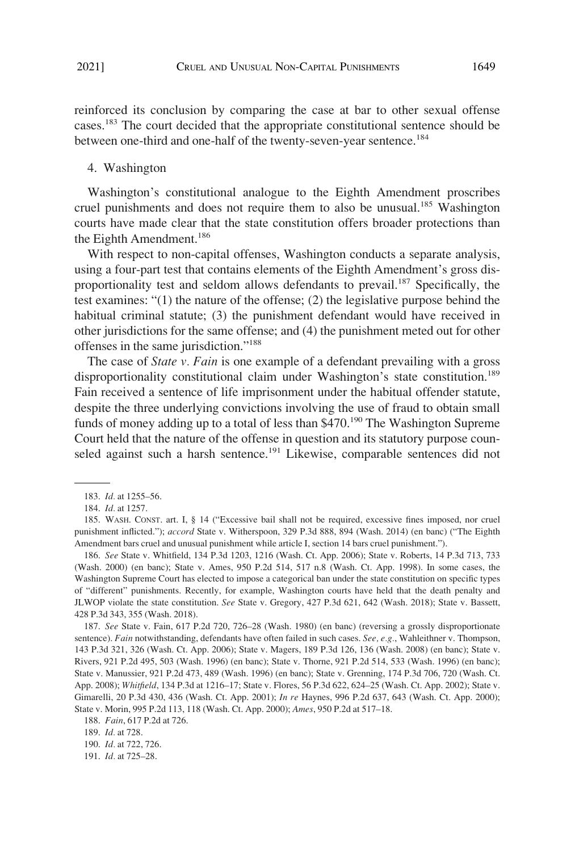<span id="page-22-0"></span>reinforced its conclusion by comparing the case at bar to other sexual offense cases.183 The court decided that the appropriate constitutional sentence should be between one-third and one-half of the twenty-seven-year sentence.<sup>184</sup>

#### 4. Washington

Washington's constitutional analogue to the Eighth Amendment proscribes cruel punishments and does not require them to also be unusual.<sup>185</sup> Washington courts have made clear that the state constitution offers broader protections than the Eighth Amendment.<sup>186</sup>

With respect to non-capital offenses, Washington conducts a separate analysis, using a four-part test that contains elements of the Eighth Amendment's gross disproportionality test and seldom allows defendants to prevail.<sup>187</sup> Specifically, the test examines: "(1) the nature of the offense; (2) the legislative purpose behind the habitual criminal statute; (3) the punishment defendant would have received in other jurisdictions for the same offense; and (4) the punishment meted out for other offenses in the same jurisdiction."188

The case of *State v. Fain* is one example of a defendant prevailing with a gross disproportionality constitutional claim under Washington's state constitution.<sup>189</sup> Fain received a sentence of life imprisonment under the habitual offender statute, despite the three underlying convictions involving the use of fraud to obtain small funds of money adding up to a total of less than \$470.<sup>190</sup> The Washington Supreme Court held that the nature of the offense in question and its statutory purpose counseled against such a harsh sentence.<sup>191</sup> Likewise, comparable sentences did not

186. *See* State v. Whitfield, 134 P.3d 1203, 1216 (Wash. Ct. App. 2006); State v. Roberts, 14 P.3d 713, 733 (Wash. 2000) (en banc); State v. Ames, 950 P.2d 514, 517 n.8 (Wash. Ct. App. 1998). In some cases, the Washington Supreme Court has elected to impose a categorical ban under the state constitution on specific types of "different" punishments. Recently, for example, Washington courts have held that the death penalty and JLWOP violate the state constitution. *See* State v. Gregory, 427 P.3d 621, 642 (Wash. 2018); State v. Bassett, 428 P.3d 343, 355 (Wash. 2018).

187. *See* State v. Fain, 617 P.2d 720, 726–28 (Wash. 1980) (en banc) (reversing a grossly disproportionate sentence). *Fain* notwithstanding, defendants have often failed in such cases. *See, e.g.*, Wahleithner v. Thompson, 143 P.3d 321, 326 (Wash. Ct. App. 2006); State v. Magers, 189 P.3d 126, 136 (Wash. 2008) (en banc); State v. Rivers, 921 P.2d 495, 503 (Wash. 1996) (en banc); State v. Thorne, 921 P.2d 514, 533 (Wash. 1996) (en banc); State v. Manussier, 921 P.2d 473, 489 (Wash. 1996) (en banc); State v. Grenning, 174 P.3d 706, 720 (Wash. Ct. App. 2008); *Whitfield*, 134 P.3d at 1216–17; State v. Flores, 56 P.3d 622, 624–25 (Wash. Ct. App. 2002); State v. Gimarelli, 20 P.3d 430, 436 (Wash. Ct. App. 2001); *In re* Haynes, 996 P.2d 637, 643 (Wash. Ct. App. 2000); State v. Morin, 995 P.2d 113, 118 (Wash. Ct. App. 2000); *Ames*, 950 P.2d at 517–18.

<sup>183.</sup> *Id.* at 1255–56.

<sup>184.</sup> *Id.* at 1257.

<sup>185.</sup> WASH. CONST. art. I, § 14 ("Excessive bail shall not be required, excessive fines imposed, nor cruel punishment inflicted."); *accord* State v. Witherspoon, 329 P.3d 888, 894 (Wash. 2014) (en banc) ("The Eighth Amendment bars cruel and unusual punishment while article I, section 14 bars cruel punishment.").

<sup>188.</sup> *Fain*, 617 P.2d at 726.

<sup>189.</sup> *Id.* at 728.

<sup>190.</sup> *Id.* at 722, 726.

<sup>191.</sup> *Id.* at 725–28.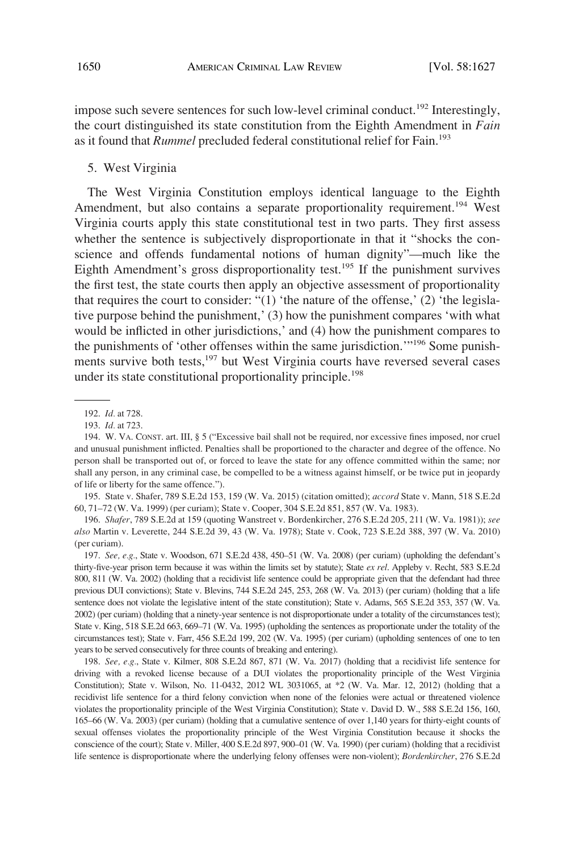<span id="page-23-0"></span>impose such severe sentences for such low-level criminal conduct.<sup>192</sup> Interestingly, the court distinguished its state constitution from the Eighth Amendment in *Fain*  as it found that *Rummel* precluded federal constitutional relief for Fain.<sup>193</sup>

#### 5. West Virginia

The West Virginia Constitution employs identical language to the Eighth Amendment, but also contains a separate proportionality requirement.<sup>194</sup> West Virginia courts apply this state constitutional test in two parts. They first assess whether the sentence is subjectively disproportionate in that it "shocks the conscience and offends fundamental notions of human dignity"—much like the Eighth Amendment's gross disproportionality test.<sup>195</sup> If the punishment survives the first test, the state courts then apply an objective assessment of proportionality that requires the court to consider: " $(1)$  'the nature of the offense,'  $(2)$  'the legislative purpose behind the punishment,' (3) how the punishment compares 'with what would be inflicted in other jurisdictions,' and (4) how the punishment compares to the punishments of 'other offenses within the same jurisdiction.'"196 Some punishments survive both tests,<sup>197</sup> but West Virginia courts have reversed several cases under its state constitutional proportionality principle.<sup>198</sup>

195. State v. Shafer, 789 S.E.2d 153, 159 (W. Va. 2015) (citation omitted); *accord* State v. Mann, 518 S.E.2d 60, 71–72 (W. Va. 1999) (per curiam); State v. Cooper, 304 S.E.2d 851, 857 (W. Va. 1983).

196. *Shafer*, 789 S.E.2d at 159 (quoting Wanstreet v. Bordenkircher, 276 S.E.2d 205, 211 (W. Va. 1981)); *see also* Martin v. Leverette, 244 S.E.2d 39, 43 (W. Va. 1978); State v. Cook, 723 S.E.2d 388, 397 (W. Va. 2010) (per curiam).

197. *See, e.g.*, State v. Woodson, 671 S.E.2d 438, 450–51 (W. Va. 2008) (per curiam) (upholding the defendant's thirty-five-year prison term because it was within the limits set by statute); State *ex rel*. Appleby v. Recht, 583 S.E.2d 800, 811 (W. Va. 2002) (holding that a recidivist life sentence could be appropriate given that the defendant had three previous DUI convictions); State v. Blevins, 744 S.E.2d 245, 253, 268 (W. Va. 2013) (per curiam) (holding that a life sentence does not violate the legislative intent of the state constitution); State v. Adams, 565 S.E.2d 353, 357 (W. Va. 2002) (per curiam) (holding that a ninety-year sentence is not disproportionate under a totality of the circumstances test); State v. King, 518 S.E.2d 663, 669–71 (W. Va. 1995) (upholding the sentences as proportionate under the totality of the circumstances test); State v. Farr, 456 S.E.2d 199, 202 (W. Va. 1995) (per curiam) (upholding sentences of one to ten years to be served consecutively for three counts of breaking and entering).

198. *See, e.g.*, State v. Kilmer, 808 S.E.2d 867, 871 (W. Va. 2017) (holding that a recidivist life sentence for driving with a revoked license because of a DUI violates the proportionality principle of the West Virginia Constitution); State v. Wilson, No. 11-0432, 2012 WL 3031065, at \*2 (W. Va. Mar. 12, 2012) (holding that a recidivist life sentence for a third felony conviction when none of the felonies were actual or threatened violence violates the proportionality principle of the West Virginia Constitution); State v. David D. W., 588 S.E.2d 156, 160, 165–66 (W. Va. 2003) (per curiam) (holding that a cumulative sentence of over 1,140 years for thirty-eight counts of sexual offenses violates the proportionality principle of the West Virginia Constitution because it shocks the conscience of the court); State v. Miller, 400 S.E.2d 897, 900–01 (W. Va. 1990) (per curiam) (holding that a recidivist life sentence is disproportionate where the underlying felony offenses were non-violent); *Bordenkircher*, 276 S.E.2d

<sup>192.</sup> *Id.* at 728.

<sup>193.</sup> *Id.* at 723.

<sup>194.</sup> W. VA. CONST. art. III, § 5 ("Excessive bail shall not be required, nor excessive fines imposed, nor cruel and unusual punishment inflicted. Penalties shall be proportioned to the character and degree of the offence. No person shall be transported out of, or forced to leave the state for any offence committed within the same; nor shall any person, in any criminal case, be compelled to be a witness against himself, or be twice put in jeopardy of life or liberty for the same offence.").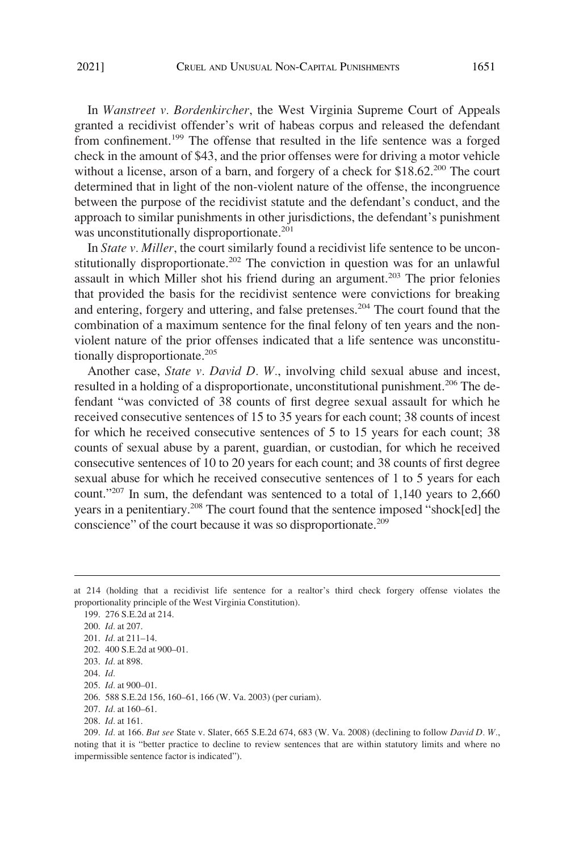In *Wanstreet v. Bordenkircher*, the West Virginia Supreme Court of Appeals granted a recidivist offender's writ of habeas corpus and released the defendant from confinement.<sup>199</sup> The offense that resulted in the life sentence was a forged check in the amount of \$43, and the prior offenses were for driving a motor vehicle without a license, arson of a barn, and forgery of a check for \$18.62<sup>200</sup> The court determined that in light of the non-violent nature of the offense, the incongruence between the purpose of the recidivist statute and the defendant's conduct, and the approach to similar punishments in other jurisdictions, the defendant's punishment was unconstitutionally disproportionate.<sup>201</sup>

In *State v. Miller*, the court similarly found a recidivist life sentence to be unconstitutionally disproportionate.<sup>202</sup> The conviction in question was for an unlawful assault in which Miller shot his friend during an argument.<sup>203</sup> The prior felonies that provided the basis for the recidivist sentence were convictions for breaking and entering, forgery and uttering, and false pretenses.<sup>204</sup> The court found that the combination of a maximum sentence for the final felony of ten years and the nonviolent nature of the prior offenses indicated that a life sentence was unconstitutionally disproportionate.<sup>205</sup>

Another case, *State v. David D. W.*, involving child sexual abuse and incest, resulted in a holding of a disproportionate, unconstitutional punishment.<sup>206</sup> The defendant "was convicted of 38 counts of first degree sexual assault for which he received consecutive sentences of 15 to 35 years for each count; 38 counts of incest for which he received consecutive sentences of 5 to 15 years for each count; 38 counts of sexual abuse by a parent, guardian, or custodian, for which he received consecutive sentences of 10 to 20 years for each count; and 38 counts of first degree sexual abuse for which he received consecutive sentences of 1 to 5 years for each count."207 In sum, the defendant was sentenced to a total of 1,140 years to 2,660 years in a penitentiary.<sup>208</sup> The court found that the sentence imposed "shock[ed] the conscience" of the court because it was so disproportionate.<sup>209</sup>

199. 276 S.E.2d at 214. 200. *Id.* at 207. 201. *Id.* at 211–14. 202. 400 S.E.2d at 900–01. 203. *Id.* at 898. 204. *Id.*  205. *Id.* at 900–01. 206. 588 S.E.2d 156, 160–61, 166 (W. Va. 2003) (per curiam). 207. *Id.* at 160–61. 208. *Id.* at 161.

209. *Id.* at 166. *But see* State v. Slater, 665 S.E.2d 674, 683 (W. Va. 2008) (declining to follow *David D. W.*, noting that it is "better practice to decline to review sentences that are within statutory limits and where no impermissible sentence factor is indicated").

at 214 (holding that a recidivist life sentence for a realtor's third check forgery offense violates the proportionality principle of the West Virginia Constitution).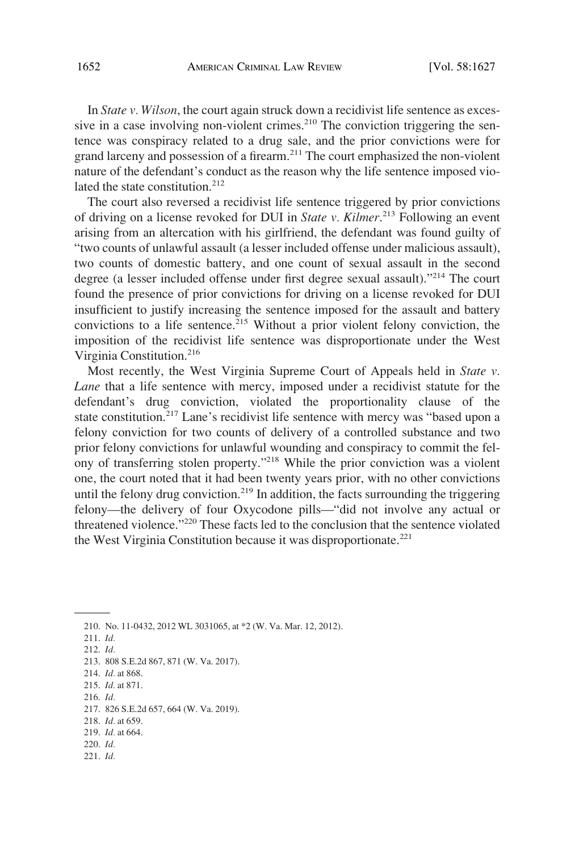In *State v. Wilson*, the court again struck down a recidivist life sentence as excessive in a case involving non-violent crimes.<sup>210</sup> The conviction triggering the sentence was conspiracy related to a drug sale, and the prior convictions were for grand larceny and possession of a firearm.211 The court emphasized the non-violent nature of the defendant's conduct as the reason why the life sentence imposed violated the state constitution.<sup>212</sup>

The court also reversed a recidivist life sentence triggered by prior convictions of driving on a license revoked for DUI in *State v. Kilmer*. 213 Following an event arising from an altercation with his girlfriend, the defendant was found guilty of "two counts of unlawful assault (a lesser included offense under malicious assault), two counts of domestic battery, and one count of sexual assault in the second degree (a lesser included offense under first degree sexual assault)."214 The court found the presence of prior convictions for driving on a license revoked for DUI insufficient to justify increasing the sentence imposed for the assault and battery convictions to a life sentence.<sup>215</sup> Without a prior violent felony conviction, the imposition of the recidivist life sentence was disproportionate under the West Virginia Constitution.216

Most recently, the West Virginia Supreme Court of Appeals held in *State v. Lane* that a life sentence with mercy, imposed under a recidivist statute for the defendant's drug conviction, violated the proportionality clause of the state constitution.<sup>217</sup> Lane's recidivist life sentence with mercy was "based upon a felony conviction for two counts of delivery of a controlled substance and two prior felony convictions for unlawful wounding and conspiracy to commit the felony of transferring stolen property."<sup>218</sup> While the prior conviction was a violent one, the court noted that it had been twenty years prior, with no other convictions until the felony drug conviction.<sup>219</sup> In addition, the facts surrounding the triggering felony—the delivery of four Oxycodone pills—"did not involve any actual or threatened violence."220 These facts led to the conclusion that the sentence violated the West Virginia Constitution because it was disproportionate.<sup>221</sup>

- 215. *Id.* at 871.
- 216. *Id.*  217. 826 S.E.2d 657, 664 (W. Va. 2019).
- 218. *Id.* at 659.
- 219. *Id.* at 664.
- 220. *Id.*
- 221. *Id.*

<sup>210.</sup> No. 11-0432, 2012 WL 3031065, at \*2 (W. Va. Mar. 12, 2012).

<sup>211.</sup> *Id.* 

<sup>212.</sup> *Id.* 

<sup>213. 808</sup> S.E.2d 867, 871 (W. Va. 2017).

<sup>214.</sup> *Id.* at 868.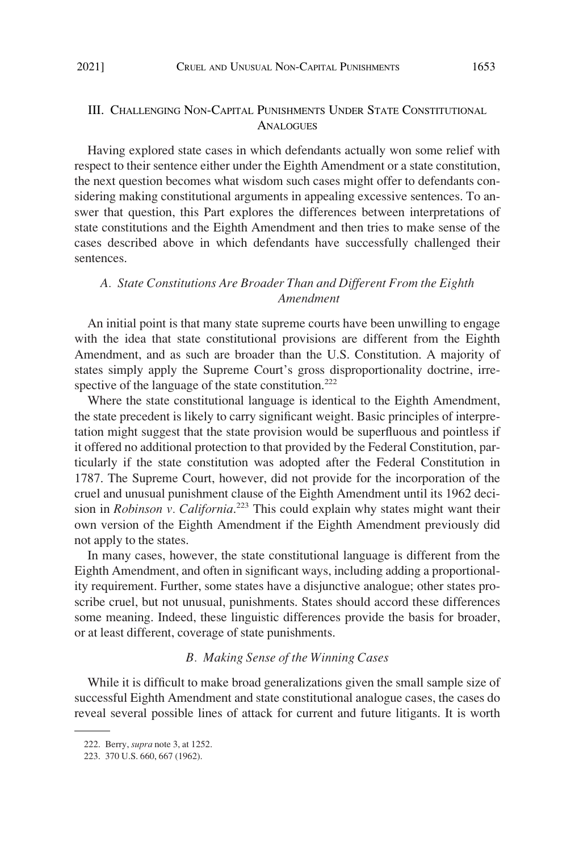## <span id="page-26-0"></span>III. CHALLENGING NON-CAPITAL PUNISHMENTS UNDER STATE CONSTITUTIONAL ANALOGUES

Having explored state cases in which defendants actually won some relief with respect to their sentence either under the Eighth Amendment or a state constitution, the next question becomes what wisdom such cases might offer to defendants considering making constitutional arguments in appealing excessive sentences. To answer that question, this Part explores the differences between interpretations of state constitutions and the Eighth Amendment and then tries to make sense of the cases described above in which defendants have successfully challenged their sentences.

## *A. State Constitutions Are Broader Than and Different From the Eighth Amendment*

An initial point is that many state supreme courts have been unwilling to engage with the idea that state constitutional provisions are different from the Eighth Amendment, and as such are broader than the U.S. Constitution. A majority of states simply apply the Supreme Court's gross disproportionality doctrine, irrespective of the language of the state constitution.<sup>222</sup>

Where the state constitutional language is identical to the Eighth Amendment, the state precedent is likely to carry significant weight. Basic principles of interpretation might suggest that the state provision would be superfluous and pointless if it offered no additional protection to that provided by the Federal Constitution, particularly if the state constitution was adopted after the Federal Constitution in 1787. The Supreme Court, however, did not provide for the incorporation of the cruel and unusual punishment clause of the Eighth Amendment until its 1962 decision in *Robinson v. California*. 223 This could explain why states might want their own version of the Eighth Amendment if the Eighth Amendment previously did not apply to the states.

In many cases, however, the state constitutional language is different from the Eighth Amendment, and often in significant ways, including adding a proportionality requirement. Further, some states have a disjunctive analogue; other states proscribe cruel, but not unusual, punishments. States should accord these differences some meaning. Indeed, these linguistic differences provide the basis for broader, or at least different, coverage of state punishments.

## *B. Making Sense of the Winning Cases*

While it is difficult to make broad generalizations given the small sample size of successful Eighth Amendment and state constitutional analogue cases, the cases do reveal several possible lines of attack for current and future litigants. It is worth

<sup>222.</sup> Berry, *supra* note 3, at 1252.

<sup>223. 370</sup> U.S. 660, 667 (1962).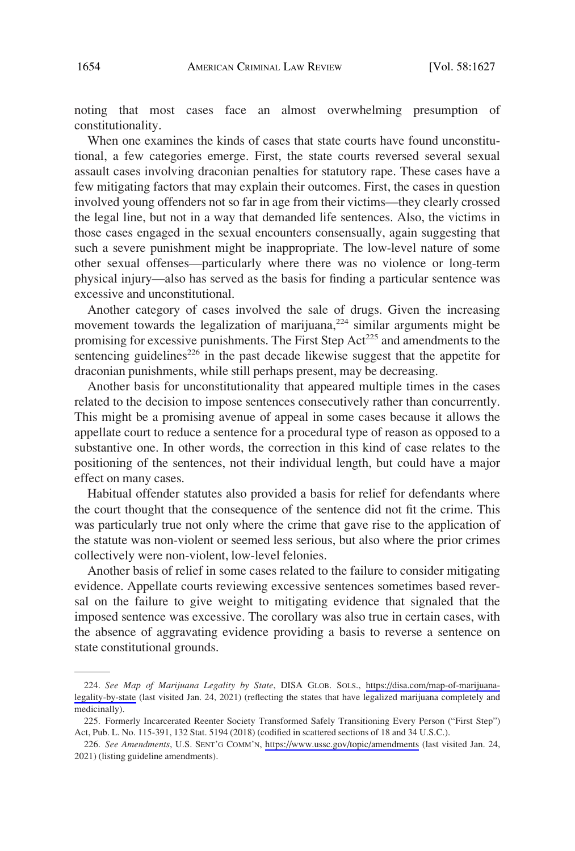noting that most cases face an almost overwhelming presumption of constitutionality.

When one examines the kinds of cases that state courts have found unconstitutional, a few categories emerge. First, the state courts reversed several sexual assault cases involving draconian penalties for statutory rape. These cases have a few mitigating factors that may explain their outcomes. First, the cases in question involved young offenders not so far in age from their victims—they clearly crossed the legal line, but not in a way that demanded life sentences. Also, the victims in those cases engaged in the sexual encounters consensually, again suggesting that such a severe punishment might be inappropriate. The low-level nature of some other sexual offenses—particularly where there was no violence or long-term physical injury—also has served as the basis for finding a particular sentence was excessive and unconstitutional.

Another category of cases involved the sale of drugs. Given the increasing movement towards the legalization of marijuana, $224$  similar arguments might be promising for excessive punishments. The First Step Act<sup>225</sup> and amendments to the sentencing guidelines<sup>226</sup> in the past decade likewise suggest that the appetite for draconian punishments, while still perhaps present, may be decreasing.

Another basis for unconstitutionality that appeared multiple times in the cases related to the decision to impose sentences consecutively rather than concurrently. This might be a promising avenue of appeal in some cases because it allows the appellate court to reduce a sentence for a procedural type of reason as opposed to a substantive one. In other words, the correction in this kind of case relates to the positioning of the sentences, not their individual length, but could have a major effect on many cases.

Habitual offender statutes also provided a basis for relief for defendants where the court thought that the consequence of the sentence did not fit the crime. This was particularly true not only where the crime that gave rise to the application of the statute was non-violent or seemed less serious, but also where the prior crimes collectively were non-violent, low-level felonies.

Another basis of relief in some cases related to the failure to consider mitigating evidence. Appellate courts reviewing excessive sentences sometimes based reversal on the failure to give weight to mitigating evidence that signaled that the imposed sentence was excessive. The corollary was also true in certain cases, with the absence of aggravating evidence providing a basis to reverse a sentence on state constitutional grounds.

*See Map of Marijuana Legality by State*, DISA GLOB. SOLS., [https://disa.com/map-of-marijuana-](https://disa.com/map-of-marijuana-legality-by-state)224. [legality-by-state](https://disa.com/map-of-marijuana-legality-by-state) (last visited Jan. 24, 2021) (reflecting the states that have legalized marijuana completely and medicinally).

<sup>225.</sup> Formerly Incarcerated Reenter Society Transformed Safely Transitioning Every Person ("First Step") Act, Pub. L. No. 115-391, 132 Stat. 5194 (2018) (codified in scattered sections of 18 and 34 U.S.C.).

*See Amendments*, U.S. SENT'G COMM'N, <https://www.ussc.gov/topic/amendments> (last visited Jan. 24, 226. 2021) (listing guideline amendments).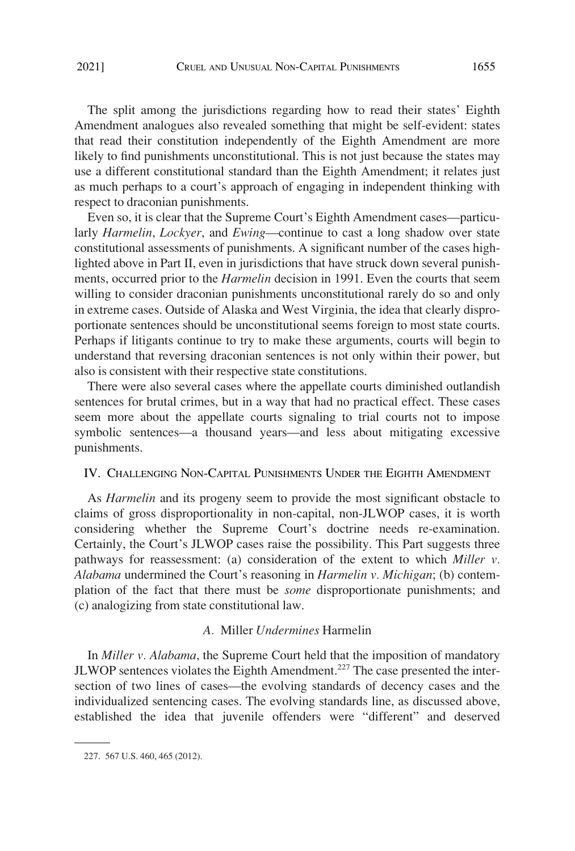<span id="page-28-0"></span>The split among the jurisdictions regarding how to read their states' Eighth Amendment analogues also revealed something that might be self-evident: states that read their constitution independently of the Eighth Amendment are more likely to find punishments unconstitutional. This is not just because the states may use a different constitutional standard than the Eighth Amendment; it relates just as much perhaps to a court's approach of engaging in independent thinking with respect to draconian punishments.

Even so, it is clear that the Supreme Court's Eighth Amendment cases—particularly *Harmelin*, *Lockyer*, and *Ewing*—continue to cast a long shadow over state constitutional assessments of punishments. A significant number of the cases highlighted above in Part II, even in jurisdictions that have struck down several punishments, occurred prior to the *Harmelin* decision in 1991. Even the courts that seem willing to consider draconian punishments unconstitutional rarely do so and only in extreme cases. Outside of Alaska and West Virginia, the idea that clearly disproportionate sentences should be unconstitutional seems foreign to most state courts. Perhaps if litigants continue to try to make these arguments, courts will begin to understand that reversing draconian sentences is not only within their power, but also is consistent with their respective state constitutions.

There were also several cases where the appellate courts diminished outlandish sentences for brutal crimes, but in a way that had no practical effect. These cases seem more about the appellate courts signaling to trial courts not to impose symbolic sentences—a thousand years—and less about mitigating excessive punishments.

## IV. CHALLENGING NON-CAPITAL PUNISHMENTS UNDER THE EIGHTH AMENDMENT

As *Harmelin* and its progeny seem to provide the most significant obstacle to claims of gross disproportionality in non-capital, non-JLWOP cases, it is worth considering whether the Supreme Court's doctrine needs re-examination. Certainly, the Court's JLWOP cases raise the possibility. This Part suggests three pathways for reassessment: (a) consideration of the extent to which *Miller v. Alabama* undermined the Court's reasoning in *Harmelin v. Michigan*; (b) contemplation of the fact that there must be *some* disproportionate punishments; and (c) analogizing from state constitutional law.

## *A.* Miller *Undermines* Harmelin

In *Miller v. Alabama*, the Supreme Court held that the imposition of mandatory  $JLWOP$  sentences violates the Eighth Amendment.<sup>227</sup> The case presented the intersection of two lines of cases—the evolving standards of decency cases and the individualized sentencing cases. The evolving standards line, as discussed above, established the idea that juvenile offenders were "different" and deserved

<sup>227. 567</sup> U.S. 460, 465 (2012).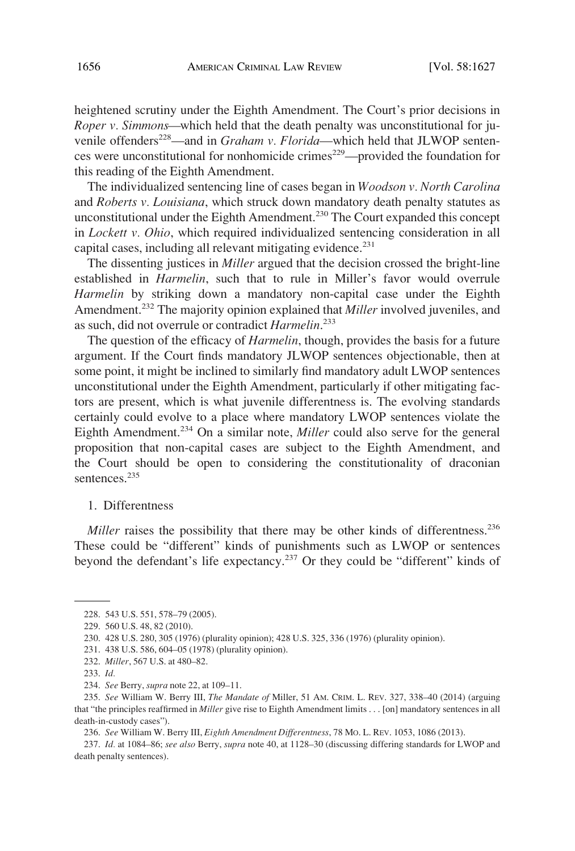<span id="page-29-0"></span>heightened scrutiny under the Eighth Amendment. The Court's prior decisions in *Roper v. Simmons—*which held that the death penalty was unconstitutional for juvenile offenders<sup>228</sup>—and in *Graham v. Florida*—which held that JLWOP sentences were unconstitutional for nonhomicide crimes<sup>229</sup>—provided the foundation for this reading of the Eighth Amendment.

The individualized sentencing line of cases began in *Woodson v. North Carolina*  and *Roberts v. Louisiana*, which struck down mandatory death penalty statutes as unconstitutional under the Eighth Amendment.<sup>230</sup> The Court expanded this concept in *Lockett v. Ohio*, which required individualized sentencing consideration in all capital cases, including all relevant mitigating evidence.<sup>231</sup>

The dissenting justices in *Miller* argued that the decision crossed the bright-line established in *Harmelin*, such that to rule in Miller's favor would overrule *Harmelin* by striking down a mandatory non-capital case under the Eighth Amendment.232 The majority opinion explained that *Miller* involved juveniles, and as such, did not overrule or contradict *Harmelin*. 233

The question of the efficacy of *Harmelin*, though, provides the basis for a future argument. If the Court finds mandatory JLWOP sentences objectionable, then at some point, it might be inclined to similarly find mandatory adult LWOP sentences unconstitutional under the Eighth Amendment, particularly if other mitigating factors are present, which is what juvenile differentness is. The evolving standards certainly could evolve to a place where mandatory LWOP sentences violate the Eighth Amendment.234 On a similar note, *Miller* could also serve for the general proposition that non-capital cases are subject to the Eighth Amendment, and the Court should be open to considering the constitutionality of draconian sentences.<sup>235</sup>

#### 1. Differentness

*Miller* raises the possibility that there may be other kinds of differentness.<sup>236</sup> These could be "different" kinds of punishments such as LWOP or sentences beyond the defendant's life expectancy.<sup>237</sup> Or they could be "different" kinds of

232. *Miller*, 567 U.S. at 480–82.

<sup>228. 543</sup> U.S. 551, 578–79 (2005).

<sup>229. 560</sup> U.S. 48, 82 (2010).

<sup>230. 428</sup> U.S. 280, 305 (1976) (plurality opinion); 428 U.S. 325, 336 (1976) (plurality opinion).

<sup>231. 438</sup> U.S. 586, 604–05 (1978) (plurality opinion).

<sup>233.</sup> *Id.* 

<sup>234.</sup> *See* Berry, *supra* note 22, at 109–11.

<sup>235.</sup> *See* William W. Berry III, *The Mandate of* Miller, 51 AM. CRIM. L. REV. 327, 338–40 (2014) (arguing that "the principles reaffirmed in *Miller* give rise to Eighth Amendment limits . . . [on] mandatory sentences in all death-in-custody cases").

<sup>236.</sup> *See* William W. Berry III, *Eighth Amendment Differentness*, 78 MO. L. REV. 1053, 1086 (2013).

<sup>237.</sup> *Id.* at 1084–86; *see also* Berry, *supra* note 40, at 1128–30 (discussing differing standards for LWOP and death penalty sentences).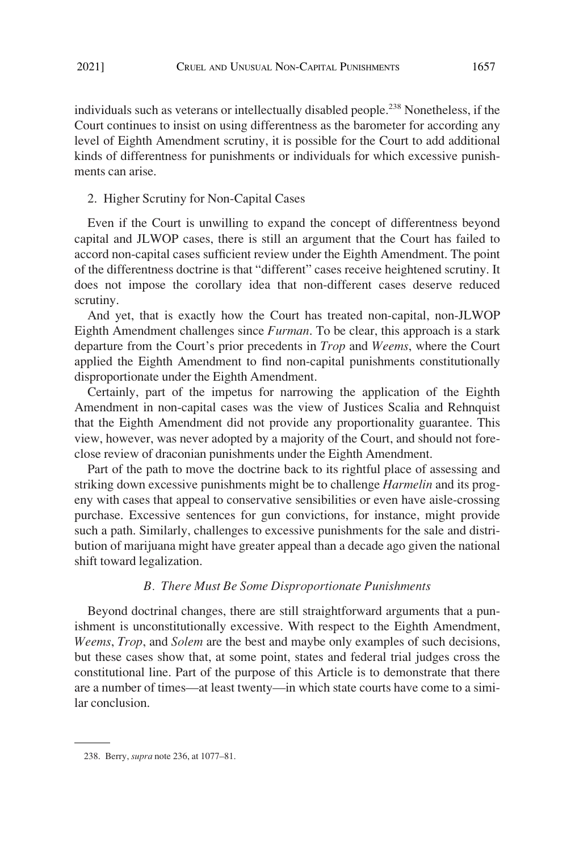<span id="page-30-0"></span>individuals such as veterans or intellectually disabled people.<sup>238</sup> Nonetheless, if the Court continues to insist on using differentness as the barometer for according any level of Eighth Amendment scrutiny, it is possible for the Court to add additional kinds of differentness for punishments or individuals for which excessive punishments can arise.

#### 2. Higher Scrutiny for Non-Capital Cases

Even if the Court is unwilling to expand the concept of differentness beyond capital and JLWOP cases, there is still an argument that the Court has failed to accord non-capital cases sufficient review under the Eighth Amendment. The point of the differentness doctrine is that "different" cases receive heightened scrutiny. It does not impose the corollary idea that non-different cases deserve reduced scrutiny.

And yet, that is exactly how the Court has treated non-capital, non-JLWOP Eighth Amendment challenges since *Furman*. To be clear, this approach is a stark departure from the Court's prior precedents in *Trop* and *Weems*, where the Court applied the Eighth Amendment to find non-capital punishments constitutionally disproportionate under the Eighth Amendment.

Certainly, part of the impetus for narrowing the application of the Eighth Amendment in non-capital cases was the view of Justices Scalia and Rehnquist that the Eighth Amendment did not provide any proportionality guarantee. This view, however, was never adopted by a majority of the Court, and should not foreclose review of draconian punishments under the Eighth Amendment.

Part of the path to move the doctrine back to its rightful place of assessing and striking down excessive punishments might be to challenge *Harmelin* and its progeny with cases that appeal to conservative sensibilities or even have aisle-crossing purchase. Excessive sentences for gun convictions, for instance, might provide such a path. Similarly, challenges to excessive punishments for the sale and distribution of marijuana might have greater appeal than a decade ago given the national shift toward legalization.

#### *B. There Must Be Some Disproportionate Punishments*

Beyond doctrinal changes, there are still straightforward arguments that a punishment is unconstitutionally excessive. With respect to the Eighth Amendment, *Weems*, *Trop*, and *Solem* are the best and maybe only examples of such decisions, but these cases show that, at some point, states and federal trial judges cross the constitutional line. Part of the purpose of this Article is to demonstrate that there are a number of times—at least twenty—in which state courts have come to a similar conclusion.

<sup>238.</sup> Berry, *supra* note 236, at 1077–81.